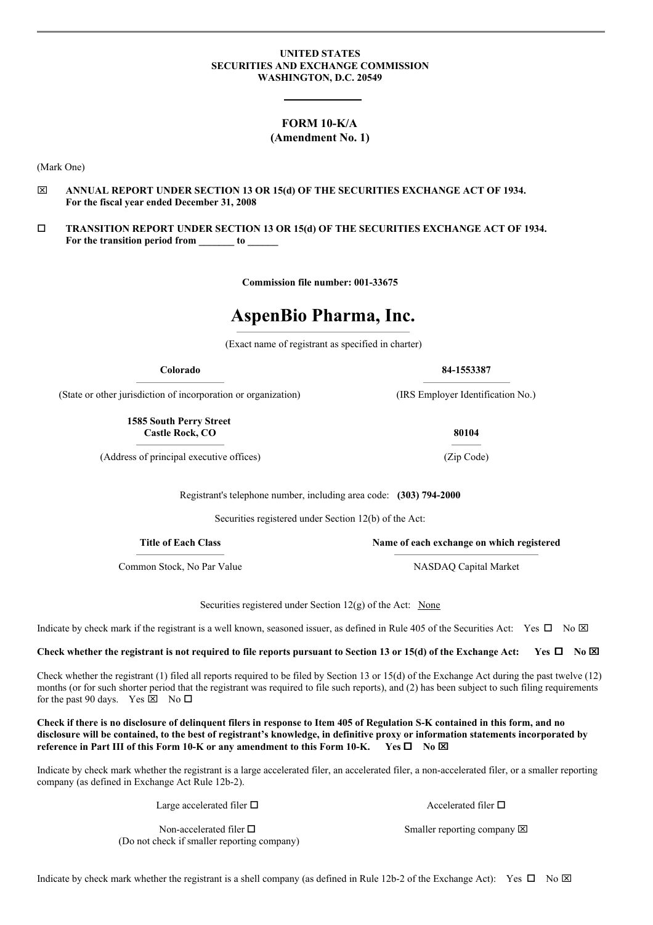#### **UNITED STATES SECURITIES AND EXCHANGE COMMISSION WASHINGTON, D.C. 20549**

# **FORM 10-K/A (Amendment No. 1)**

(Mark One)

- x **ANNUAL REPORT UNDER SECTION 13 OR 15(d) OF THE SECURITIES EXCHANGE ACT OF 1934. For the fiscal year ended December 31, 2008**
- o **TRANSITION REPORT UNDER SECTION 13 OR 15(d) OF THE SECURITIES EXCHANGE ACT OF 1934. For the transition period from \_\_\_\_\_\_\_ to \_\_\_\_\_\_**

**Commission file number: 001-33675**

# **AspenBio Pharma, Inc.**

(Exact name of registrant as specified in charter)

**Colorado 84-1553387**

(State or other jurisdiction of incorporation or organization) (IRS Employer Identification No.)

**1585 South Perry Street Castle Rock, CO 80104**

(Address of principal executive offices) (Zip Code)

Registrant's telephone number, including area code: **(303) 794-2000**

Securities registered under Section 12(b) of the Act:

Common Stock, No Par Value NASDAQ Capital Market

Securities registered under Section  $12(g)$  of the Act: None

Indicate by check mark if the registrant is a well known, seasoned issuer, as defined in Rule 405 of the Securities Act: Yes  $\Box$  No  $\boxtimes$ 

## Check whether the registrant is not required to file reports pursuant to Section 13 or 15(d) of the Exchange Act: Yes  $\Box$  No  $\boxtimes$

Check whether the registrant (1) filed all reports required to be filed by Section 13 or 15(d) of the Exchange Act during the past twelve (12) months (or for such shorter period that the registrant was required to file such reports), and (2) has been subject to such filing requirements for the past 90 days. Yes  $\boxtimes$  No  $\square$ 

Check if there is no disclosure of delinquent filers in response to Item 405 of Regulation S-K contained in this form, and no disclosure will be contained, to the best of registrant's knowledge, in definitive proxy or information statements incorporated by *reference* **in** Part **III** of this Form 10-K or any amendment to this Form 10-K. Yes  $\Box$  No  $\boxtimes$ 

Indicate by check mark whether the registrant is a large accelerated filer, an accelerated filer, a non-accelerated filer, or a smaller reporting company (as defined in Exchange Act Rule 12b-2).

Large accelerated filer  $\Box$ 

Non-accelerated filer  $\square$ (Do not check if smaller reporting company)

Indicate by check mark whether the registrant is a shell company (as defined in Rule 12b-2 of the Exchange Act): Yes  $\Box$  No  $\boxtimes$ 

**Title of Each Class Name of each exchange on which registered**

Accelerated filer  $\square$ 

Smaller reporting company  $\boxtimes$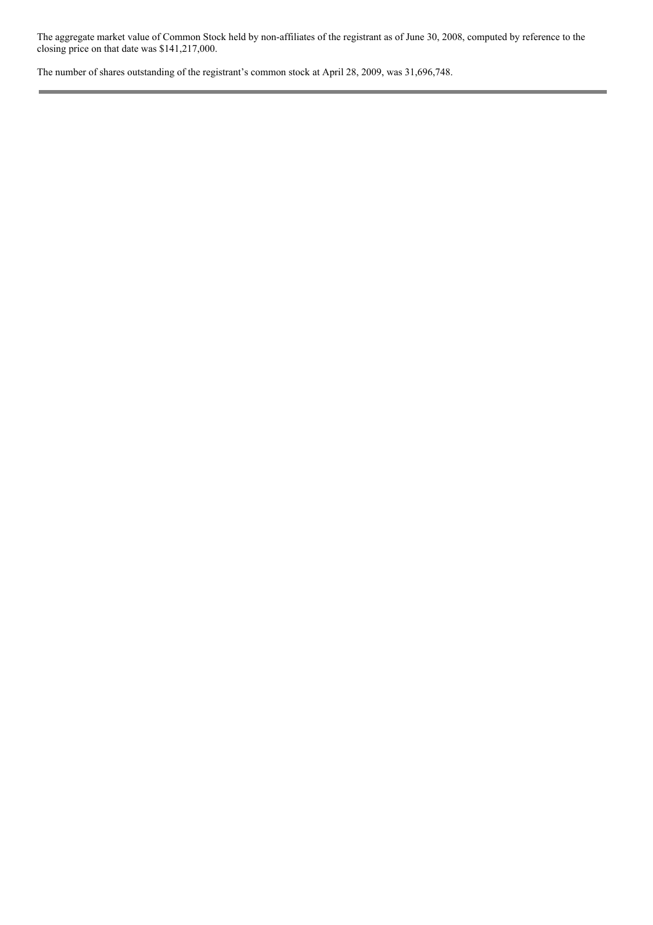The aggregate market value of Common Stock held by non-affiliates of the registrant as of June 30, 2008, computed by reference to the closing price on that date was \$141,217,000.

The number of shares outstanding of the registrant's common stock at April 28, 2009, was 31,696,748.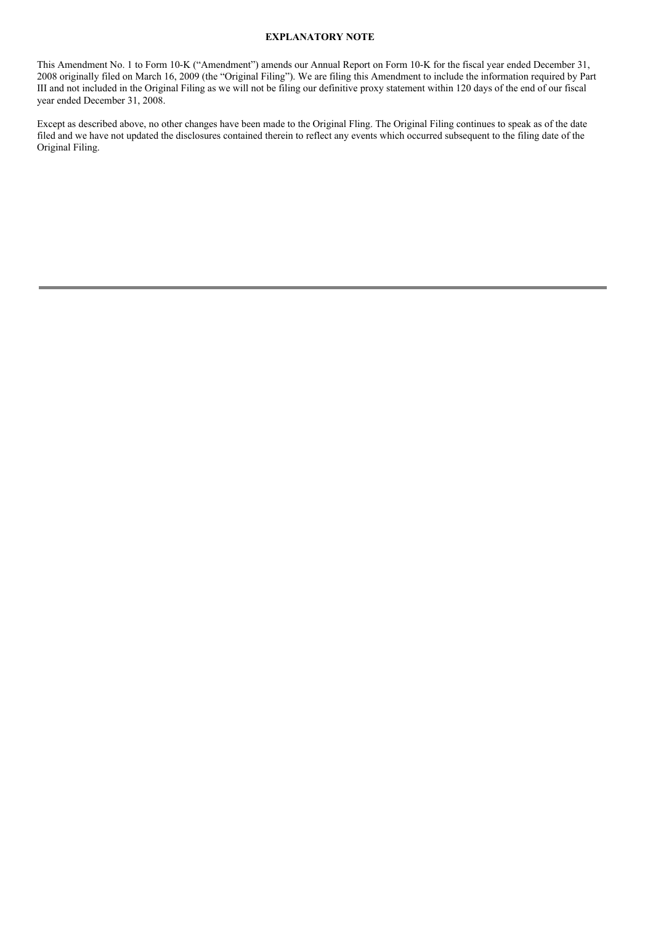## **EXPLANATORY NOTE**

This Amendment No. 1 to Form 10-K ("Amendment") amends our Annual Report on Form 10-K for the fiscal year ended December 31, 2008 originally filed on March 16, 2009 (the "Original Filing"). We are filing this Amendment to include the information required by Part III and not included in the Original Filing as we will not be filing our definitive proxy statement within 120 days of the end of our fiscal year ended December 31, 2008.

Except as described above, no other changes have been made to the Original Fling. The Original Filing continues to speak as of the date filed and we have not updated the disclosures contained therein to reflect any events which occurred subsequent to the filing date of the Original Filing.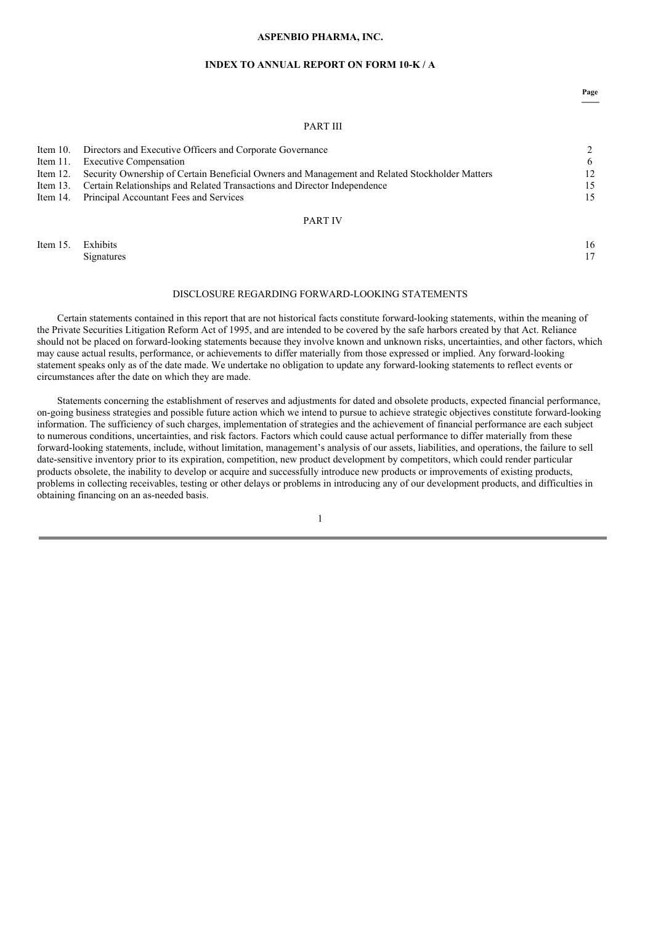## **ASPENBIO PHARMA, INC.**

# **INDEX TO ANNUAL REPORT ON FORM 10-K / A**

#### **Page**

#### PART III

| Item $10$ . | Directors and Executive Officers and Corporate Governance                                      |    |
|-------------|------------------------------------------------------------------------------------------------|----|
| Item $11.$  | <b>Executive Compensation</b>                                                                  | -6 |
| Item $12$ . | Security Ownership of Certain Beneficial Owners and Management and Related Stockholder Matters | 12 |
| Item $13.$  | Certain Relationships and Related Transactions and Director Independence                       | 15 |
| Item $14$ . | Principal Accountant Fees and Services                                                         | 15 |
|             | <b>PART IV</b>                                                                                 |    |
| Item $15$ . | <b>Exhibits</b>                                                                                | 16 |

## DISCLOSURE REGARDING FORWARD-LOOKING STATEMENTS

Signatures 17

Certain statements contained in this report that are not historical facts constitute forward-looking statements, within the meaning of the Private Securities Litigation Reform Act of 1995, and are intended to be covered by the safe harbors created by that Act. Reliance should not be placed on forward-looking statements because they involve known and unknown risks, uncertainties, and other factors, which may cause actual results, performance, or achievements to differ materially from those expressed or implied. Any forward-looking statement speaks only as of the date made. We undertake no obligation to update any forward-looking statements to reflect events or circumstances after the date on which they are made.

Statements concerning the establishment of reserves and adjustments for dated and obsolete products, expected financial performance, on-going business strategies and possible future action which we intend to pursue to achieve strategic objectives constitute forward-looking information. The sufficiency of such charges, implementation of strategies and the achievement of financial performance are each subject to numerous conditions, uncertainties, and risk factors. Factors which could cause actual performance to differ materially from these forward-looking statements, include, without limitation, management's analysis of our assets, liabilities, and operations, the failure to sell date-sensitive inventory prior to its expiration, competition, new product development by competitors, which could render particular products obsolete, the inability to develop or acquire and successfully introduce new products or improvements of existing products, problems in collecting receivables, testing or other delays or problems in introducing any of our development products, and difficulties in obtaining financing on an as-needed basis.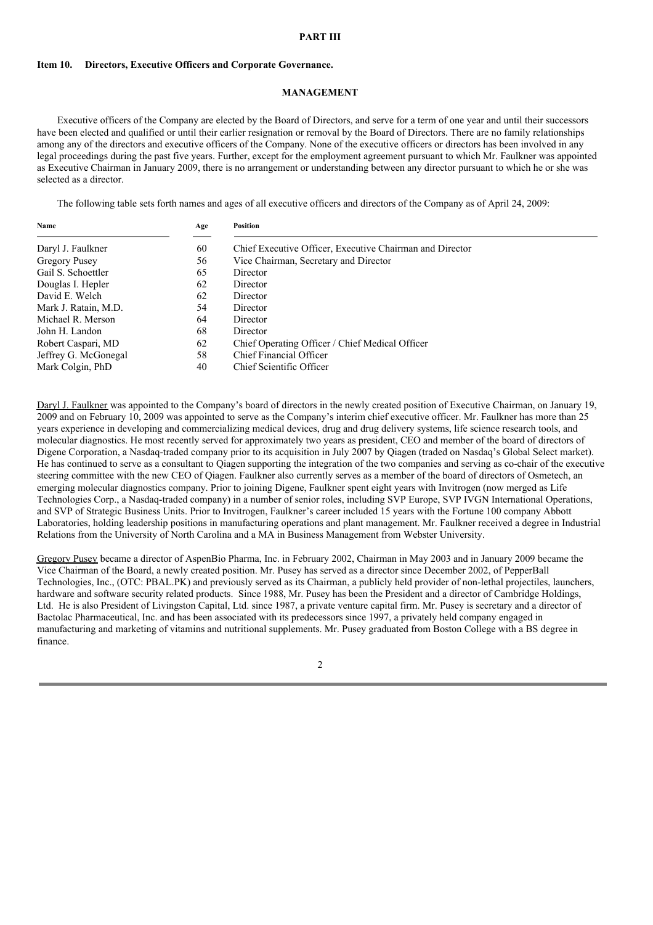## **PART III**

#### **Item 10. Directors, Executive Officers and Corporate Governance.**

#### **MANAGEMENT**

Executive officers of the Company are elected by the Board of Directors, and serve for a term of one year and until their successors have been elected and qualified or until their earlier resignation or removal by the Board of Directors. There are no family relationships among any of the directors and executive officers of the Company. None of the executive officers or directors has been involved in any legal proceedings during the past five years. Further, except for the employment agreement pursuant to which Mr. Faulkner was appointed as Executive Chairman in January 2009, there is no arrangement or understanding between any director pursuant to which he or she was selected as a director.

The following table sets forth names and ages of all executive officers and directors of the Company as of April 24, 2009:

| Name                 | Age | Position                                                 |
|----------------------|-----|----------------------------------------------------------|
| Daryl J. Faulkner    | 60  | Chief Executive Officer, Executive Chairman and Director |
| Gregory Pusey        | 56  | Vice Chairman, Secretary and Director                    |
| Gail S. Schoettler   | 65  | Director                                                 |
| Douglas I. Hepler    | 62  | Director                                                 |
| David E. Welch       | 62  | Director                                                 |
| Mark J. Ratain, M.D. | 54  | Director                                                 |
| Michael R. Merson    | 64  | Director                                                 |
| John H. Landon       | 68  | Director                                                 |
| Robert Caspari, MD   | 62  | Chief Operating Officer / Chief Medical Officer          |
| Jeffrey G. McGonegal | 58  | Chief Financial Officer                                  |
| Mark Colgin, PhD     | 40  | Chief Scientific Officer                                 |

Daryl J. Faulkner was appointed to the Company's board of directors in the newly created position of Executive Chairman, on January 19, 2009 and on February 10, 2009 was appointed to serve as the Company's interim chief executive officer. Mr. Faulkner has more than 25 years experience in developing and commercializing medical devices, drug and drug delivery systems, life science research tools, and molecular diagnostics. He most recently served for approximately two years as president, CEO and member of the board of directors of Digene Corporation, a Nasdaq-traded company prior to its acquisition in July 2007 by Qiagen (traded on Nasdaq's Global Select market). He has continued to serve as a consultant to Qiagen supporting the integration of the two companies and serving as co-chair of the executive steering committee with the new CEO of Qiagen. Faulkner also currently serves as a member of the board of directors of Osmetech, an emerging molecular diagnostics company. Prior to joining Digene, Faulkner spent eight years with Invitrogen (now merged as Life Technologies Corp., a Nasdaq-traded company) in a number of senior roles, including SVP Europe, SVP IVGN International Operations, and SVP of Strategic Business Units. Prior to Invitrogen, Faulkner's career included 15 years with the Fortune 100 company Abbott Laboratories, holding leadership positions in manufacturing operations and plant management. Mr. Faulkner received a degree in Industrial Relations from the University of North Carolina and a MA in Business Management from Webster University.

Gregory Pusey became a director of AspenBio Pharma, Inc. in February 2002, Chairman in May 2003 and in January 2009 became the Vice Chairman of the Board, a newly created position. Mr. Pusey has served as a director since December 2002, of PepperBall Technologies, Inc., (OTC: PBAL.PK) and previously served as its Chairman, a publicly held provider of non-lethal projectiles, launchers, hardware and software security related products. Since 1988, Mr. Pusey has been the President and a director of Cambridge Holdings, Ltd. He is also President of Livingston Capital, Ltd. since 1987, a private venture capital firm. Mr. Pusey is secretary and a director of Bactolac Pharmaceutical, Inc. and has been associated with its predecessors since 1997, a privately held company engaged in manufacturing and marketing of vitamins and nutritional supplements. Mr. Pusey graduated from Boston College with a BS degree in finance.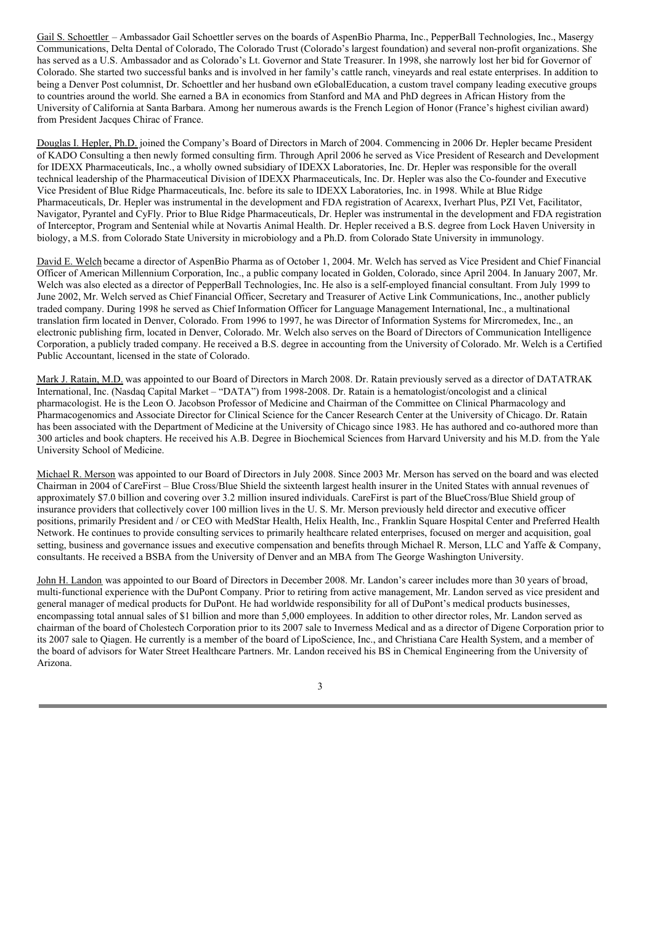Gail S. Schoettler – Ambassador Gail Schoettler serves on the boards of AspenBio Pharma, Inc., PepperBall Technologies, Inc., Masergy Communications, Delta Dental of Colorado, The Colorado Trust (Colorado's largest foundation) and several non-profit organizations. She has served as a U.S. Ambassador and as Colorado's Lt. Governor and State Treasurer. In 1998, she narrowly lost her bid for Governor of Colorado. She started two successful banks and is involved in her family's cattle ranch, vineyards and real estate enterprises. In addition to being a Denver Post columnist, Dr. Schoettler and her husband own eGlobalEducation, a custom travel company leading executive groups to countries around the world. She earned a BA in economics from Stanford and MA and PhD degrees in African History from the University of California at Santa Barbara. Among her numerous awards is the French Legion of Honor (France's highest civilian award) from President Jacques Chirac of France.

Douglas I. Hepler, Ph.D. joined the Company's Board of Directors in March of 2004. Commencing in 2006 Dr. Hepler became President of KADO Consulting a then newly formed consulting firm. Through April 2006 he served as Vice President of Research and Development for IDEXX Pharmaceuticals, Inc., a wholly owned subsidiary of IDEXX Laboratories, Inc. Dr. Hepler was responsible for the overall technical leadership of the Pharmaceutical Division of IDEXX Pharmaceuticals, Inc. Dr. Hepler was also the Co-founder and Executive Vice President of Blue Ridge Pharmaceuticals, Inc. before its sale to IDEXX Laboratories, Inc. in 1998. While at Blue Ridge Pharmaceuticals, Dr. Hepler was instrumental in the development and FDA registration of Acarexx, Iverhart Plus, PZI Vet, Facilitator, Navigator, Pyrantel and CyFly. Prior to Blue Ridge Pharmaceuticals, Dr. Hepler was instrumental in the development and FDA registration of Interceptor, Program and Sentenial while at Novartis Animal Health. Dr. Hepler received a B.S. degree from Lock Haven University in biology, a M.S. from Colorado State University in microbiology and a Ph.D. from Colorado State University in immunology.

David E. Welch became a director of AspenBio Pharma as of October 1, 2004. Mr. Welch has served as Vice President and Chief Financial Officer of American Millennium Corporation, Inc., a public company located in Golden, Colorado, since April 2004. In January 2007, Mr. Welch was also elected as a director of PepperBall Technologies, Inc. He also is a self-employed financial consultant. From July 1999 to June 2002, Mr. Welch served as Chief Financial Officer, Secretary and Treasurer of Active Link Communications, Inc., another publicly traded company. During 1998 he served as Chief Information Officer for Language Management International, Inc., a multinational translation firm located in Denver, Colorado. From 1996 to 1997, he was Director of Information Systems for Mircromedex, Inc., an electronic publishing firm, located in Denver, Colorado. Mr. Welch also serves on the Board of Directors of Communication Intelligence Corporation, a publicly traded company. He received a B.S. degree in accounting from the University of Colorado. Mr. Welch is a Certified Public Accountant, licensed in the state of Colorado.

Mark J. Ratain, M.D. was appointed to our Board of Directors in March 2008. Dr. Ratain previously served as a director of DATATRAK International, Inc. (Nasdaq Capital Market – "DATA") from 1998-2008. Dr. Ratain is a hematologist/oncologist and a clinical pharmacologist. He is the Leon O. Jacobson Professor of Medicine and Chairman of the Committee on Clinical Pharmacology and Pharmacogenomics and Associate Director for Clinical Science for the Cancer Research Center at the University of Chicago. Dr. Ratain has been associated with the Department of Medicine at the University of Chicago since 1983. He has authored and co-authored more than 300 articles and book chapters. He received his A.B. Degree in Biochemical Sciences from Harvard University and his M.D. from the Yale University School of Medicine.

Michael R. Merson was appointed to our Board of Directors in July 2008. Since 2003 Mr. Merson has served on the board and was elected Chairman in 2004 of CareFirst – Blue Cross/Blue Shield the sixteenth largest health insurer in the United States with annual revenues of approximately \$7.0 billion and covering over 3.2 million insured individuals. CareFirst is part of the BlueCross/Blue Shield group of insurance providers that collectively cover 100 million lives in the U. S. Mr. Merson previously held director and executive officer positions, primarily President and / or CEO with MedStar Health, Helix Health, Inc., Franklin Square Hospital Center and Preferred Health Network. He continues to provide consulting services to primarily healthcare related enterprises, focused on merger and acquisition, goal setting, business and governance issues and executive compensation and benefits through Michael R. Merson, LLC and Yaffe & Company, consultants. He received a BSBA from the University of Denver and an MBA from The George Washington University.

John H. Landon was appointed to our Board of Directors in December 2008. Mr. Landon's career includes more than 30 years of broad, multi-functional experience with the DuPont Company. Prior to retiring from active management, Mr. Landon served as vice president and general manager of medical products for DuPont. He had worldwide responsibility for all of DuPont's medical products businesses, encompassing total annual sales of \$1 billion and more than 5,000 employees. In addition to other director roles, Mr. Landon served as chairman of the board of Cholestech Corporation prior to its 2007 sale to Inverness Medical and as a director of Digene Corporation prior to its 2007 sale to Qiagen. He currently is a member of the board of LipoScience, Inc., and Christiana Care Health System, and a member of the board of advisors for Water Street Healthcare Partners. Mr. Landon received his BS in Chemical Engineering from the University of Arizona.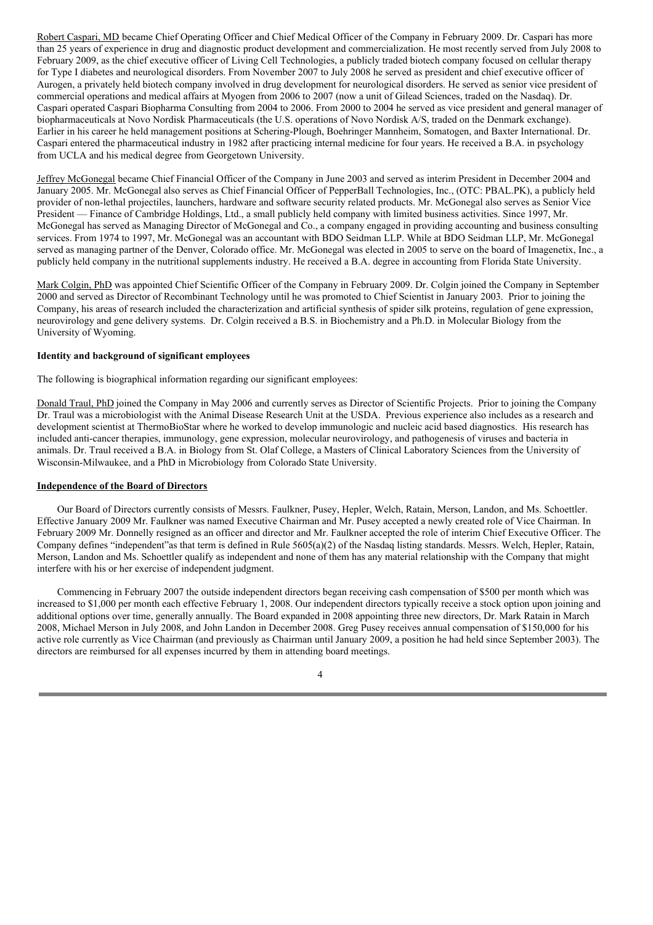Robert Caspari, MD became Chief Operating Officer and Chief Medical Officer of the Company in February 2009. Dr. Caspari has more than 25 years of experience in drug and diagnostic product development and commercialization. He most recently served from July 2008 to February 2009, as the chief executive officer of Living Cell Technologies, a publicly traded biotech company focused on cellular therapy for Type I diabetes and neurological disorders. From November 2007 to July 2008 he served as president and chief executive officer of Aurogen, a privately held biotech company involved in drug development for neurological disorders. He served as senior vice president of commercial operations and medical affairs at Myogen from 2006 to 2007 (now a unit of Gilead Sciences, traded on the Nasdaq). Dr. Caspari operated Caspari Biopharma Consulting from 2004 to 2006. From 2000 to 2004 he served as vice president and general manager of biopharmaceuticals at Novo Nordisk Pharmaceuticals (the U.S. operations of Novo Nordisk A/S, traded on the Denmark exchange). Earlier in his career he held management positions at Schering-Plough, Boehringer Mannheim, Somatogen, and Baxter International. Dr. Caspari entered the pharmaceutical industry in 1982 after practicing internal medicine for four years. He received a B.A. in psychology from UCLA and his medical degree from Georgetown University.

Jeffrey McGonegal became Chief Financial Officer of the Company in June 2003 and served as interim President in December 2004 and January 2005. Mr. McGonegal also serves as Chief Financial Officer of PepperBall Technologies, Inc., (OTC: PBAL.PK), a publicly held provider of non-lethal projectiles, launchers, hardware and software security related products. Mr. McGonegal also serves as Senior Vice President — Finance of Cambridge Holdings, Ltd., a small publicly held company with limited business activities. Since 1997, Mr. McGonegal has served as Managing Director of McGonegal and Co., a company engaged in providing accounting and business consulting services. From 1974 to 1997, Mr. McGonegal was an accountant with BDO Seidman LLP. While at BDO Seidman LLP, Mr. McGonegal served as managing partner of the Denver, Colorado office. Mr. McGonegal was elected in 2005 to serve on the board of Imagenetix, Inc., a publicly held company in the nutritional supplements industry. He received a B.A. degree in accounting from Florida State University.

Mark Colgin, PhD was appointed Chief Scientific Officer of the Company in February 2009. Dr. Colgin joined the Company in September 2000 and served as Director of Recombinant Technology until he was promoted to Chief Scientist in January 2003. Prior to joining the Company, his areas of research included the characterization and artificial synthesis of spider silk proteins, regulation of gene expression, neurovirology and gene delivery systems. Dr. Colgin received a B.S. in Biochemistry and a Ph.D. in Molecular Biology from the University of Wyoming.

## **Identity and background of significant employees**

The following is biographical information regarding our significant employees:

Donald Traul, PhD joined the Company in May 2006 and currently serves as Director of Scientific Projects. Prior to joining the Company Dr. Traul was a microbiologist with the Animal Disease Research Unit at the USDA. Previous experience also includes as a research and development scientist at ThermoBioStar where he worked to develop immunologic and nucleic acid based diagnostics. His research has included anti-cancer therapies, immunology, gene expression, molecular neurovirology, and pathogenesis of viruses and bacteria in animals. Dr. Traul received a B.A. in Biology from St. Olaf College, a Masters of Clinical Laboratory Sciences from the University of Wisconsin-Milwaukee, and a PhD in Microbiology from Colorado State University.

#### **Independence of the Board of Directors**

Our Board of Directors currently consists of Messrs. Faulkner, Pusey, Hepler, Welch, Ratain, Merson, Landon, and Ms. Schoettler. Effective January 2009 Mr. Faulkner was named Executive Chairman and Mr. Pusey accepted a newly created role of Vice Chairman. In February 2009 Mr. Donnelly resigned as an officer and director and Mr. Faulkner accepted the role of interim Chief Executive Officer. The Company defines "independent"as that term is defined in Rule 5605(a)(2) of the Nasdaq listing standards. Messrs. Welch, Hepler, Ratain, Merson, Landon and Ms. Schoettler qualify as independent and none of them has any material relationship with the Company that might interfere with his or her exercise of independent judgment.

Commencing in February 2007 the outside independent directors began receiving cash compensation of \$500 per month which was increased to \$1,000 per month each effective February 1, 2008. Our independent directors typically receive a stock option upon joining and additional options over time, generally annually. The Board expanded in 2008 appointing three new directors, Dr. Mark Ratain in March 2008, Michael Merson in July 2008, and John Landon in December 2008. Greg Pusey receives annual compensation of \$150,000 for his active role currently as Vice Chairman (and previously as Chairman until January 2009, a position he had held since September 2003). The directors are reimbursed for all expenses incurred by them in attending board meetings.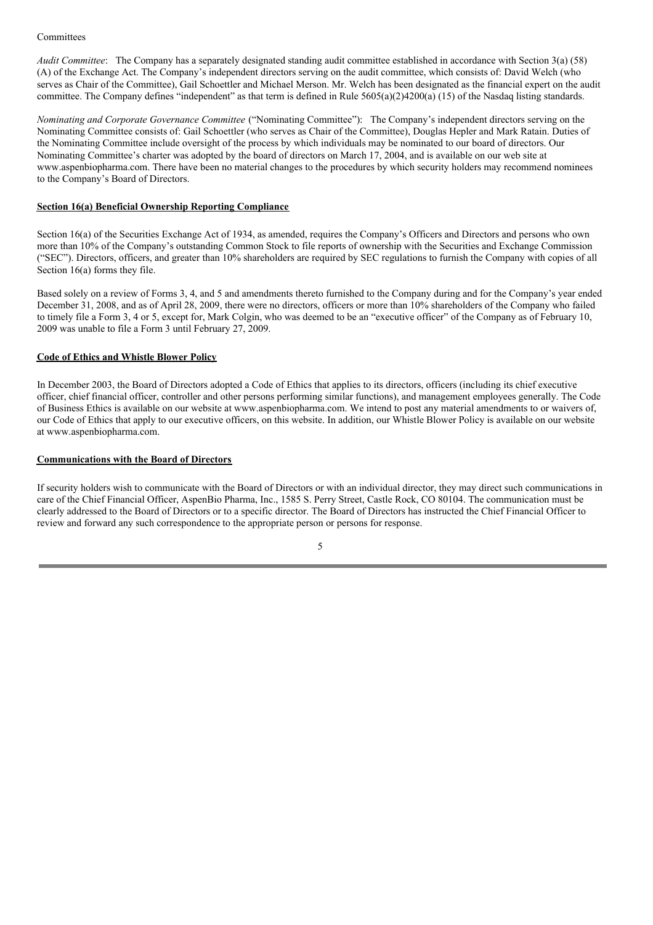## **Committees**

*Audit Committee*: The Company has a separately designated standing audit committee established in accordance with Section 3(a) (58) (A) of the Exchange Act. The Company's independent directors serving on the audit committee, which consists of: David Welch (who serves as Chair of the Committee), Gail Schoettler and Michael Merson. Mr. Welch has been designated as the financial expert on the audit committee. The Company defines "independent" as that term is defined in Rule 5605(a)(2)4200(a) (15) of the Nasdaq listing standards.

*Nominating and Corporate Governance Committee* ("Nominating Committee"): The Company's independent directors serving on the Nominating Committee consists of: Gail Schoettler (who serves as Chair of the Committee), Douglas Hepler and Mark Ratain. Duties of the Nominating Committee include oversight of the process by which individuals may be nominated to our board of directors. Our Nominating Committee's charter was adopted by the board of directors on March 17, 2004, and is available on our web site at www.aspenbiopharma.com. There have been no material changes to the procedures by which security holders may recommend nominees to the Company's Board of Directors.

# **Section 16(a) Beneficial Ownership Reporting Compliance**

Section 16(a) of the Securities Exchange Act of 1934, as amended, requires the Company's Officers and Directors and persons who own more than 10% of the Company's outstanding Common Stock to file reports of ownership with the Securities and Exchange Commission ("SEC"). Directors, officers, and greater than 10% shareholders are required by SEC regulations to furnish the Company with copies of all Section 16(a) forms they file.

Based solely on a review of Forms 3, 4, and 5 and amendments thereto furnished to the Company during and for the Company's year ended December 31, 2008, and as of April 28, 2009, there were no directors, officers or more than 10% shareholders of the Company who failed to timely file a Form 3, 4 or 5, except for, Mark Colgin, who was deemed to be an "executive officer" of the Company as of February 10, 2009 was unable to file a Form 3 until February 27, 2009.

# **Code of Ethics and Whistle Blower Policy**

In December 2003, the Board of Directors adopted a Code of Ethics that applies to its directors, officers (including its chief executive officer, chief financial officer, controller and other persons performing similar functions), and management employees generally. The Code of Business Ethics is available on our website at www.aspenbiopharma.com. We intend to post any material amendments to or waivers of, our Code of Ethics that apply to our executive officers, on this website. In addition, our Whistle Blower Policy is available on our website at www.aspenbiopharma.com.

# **Communications with the Board of Directors**

If security holders wish to communicate with the Board of Directors or with an individual director, they may direct such communications in care of the Chief Financial Officer, AspenBio Pharma, Inc., 1585 S. Perry Street, Castle Rock, CO 80104. The communication must be clearly addressed to the Board of Directors or to a specific director. The Board of Directors has instructed the Chief Financial Officer to review and forward any such correspondence to the appropriate person or persons for response.

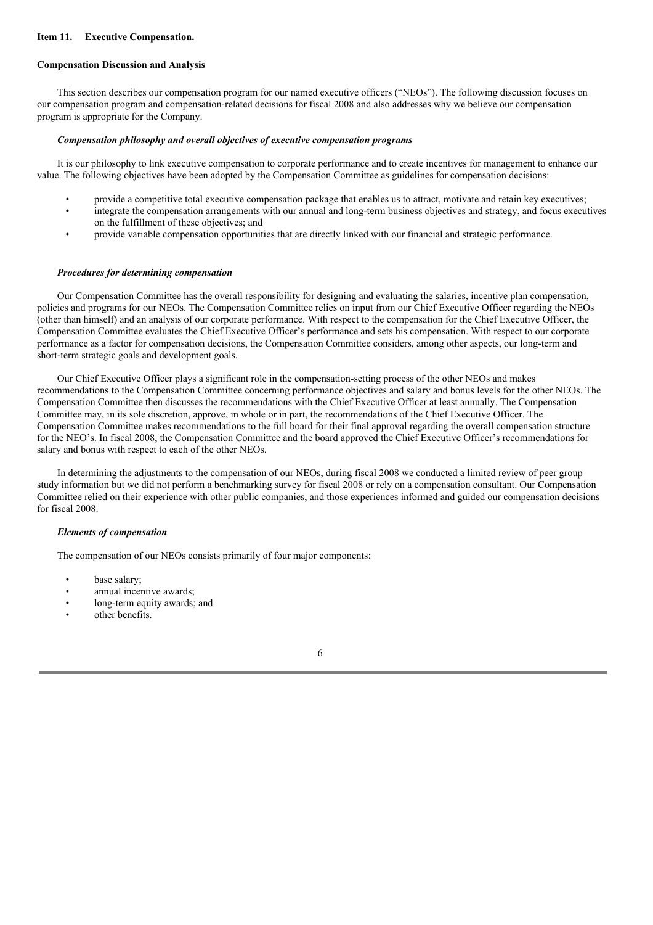## **Item 11. Executive Compensation.**

# **Compensation Discussion and Analysis**

This section describes our compensation program for our named executive officers ("NEOs"). The following discussion focuses on our compensation program and compensation-related decisions for fiscal 2008 and also addresses why we believe our compensation program is appropriate for the Company.

## *Compensation philosophy and overall objectives of executive compensation programs*

It is our philosophy to link executive compensation to corporate performance and to create incentives for management to enhance our value. The following objectives have been adopted by the Compensation Committee as guidelines for compensation decisions:

- provide a competitive total executive compensation package that enables us to attract, motivate and retain key executives;
- integrate the compensation arrangements with our annual and long-term business objectives and strategy, and focus executives on the fulfillment of these objectives; and
- provide variable compensation opportunities that are directly linked with our financial and strategic performance.

#### *Procedures for determining compensation*

Our Compensation Committee has the overall responsibility for designing and evaluating the salaries, incentive plan compensation, policies and programs for our NEOs. The Compensation Committee relies on input from our Chief Executive Officer regarding the NEOs (other than himself) and an analysis of our corporate performance. With respect to the compensation for the Chief Executive Officer, the Compensation Committee evaluates the Chief Executive Officer's performance and sets his compensation. With respect to our corporate performance as a factor for compensation decisions, the Compensation Committee considers, among other aspects, our long-term and short-term strategic goals and development goals.

Our Chief Executive Officer plays a significant role in the compensation-setting process of the other NEOs and makes recommendations to the Compensation Committee concerning performance objectives and salary and bonus levels for the other NEOs. The Compensation Committee then discusses the recommendations with the Chief Executive Officer at least annually. The Compensation Committee may, in its sole discretion, approve, in whole or in part, the recommendations of the Chief Executive Officer. The Compensation Committee makes recommendations to the full board for their final approval regarding the overall compensation structure for the NEO's. In fiscal 2008, the Compensation Committee and the board approved the Chief Executive Officer's recommendations for salary and bonus with respect to each of the other NEOs.

In determining the adjustments to the compensation of our NEOs, during fiscal 2008 we conducted a limited review of peer group study information but we did not perform a benchmarking survey for fiscal 2008 or rely on a compensation consultant. Our Compensation Committee relied on their experience with other public companies, and those experiences informed and guided our compensation decisions for fiscal 2008.

#### *Elements of compensation*

The compensation of our NEOs consists primarily of four major components:

- base salary;
- annual incentive awards;
- long-term equity awards; and
- other benefits.

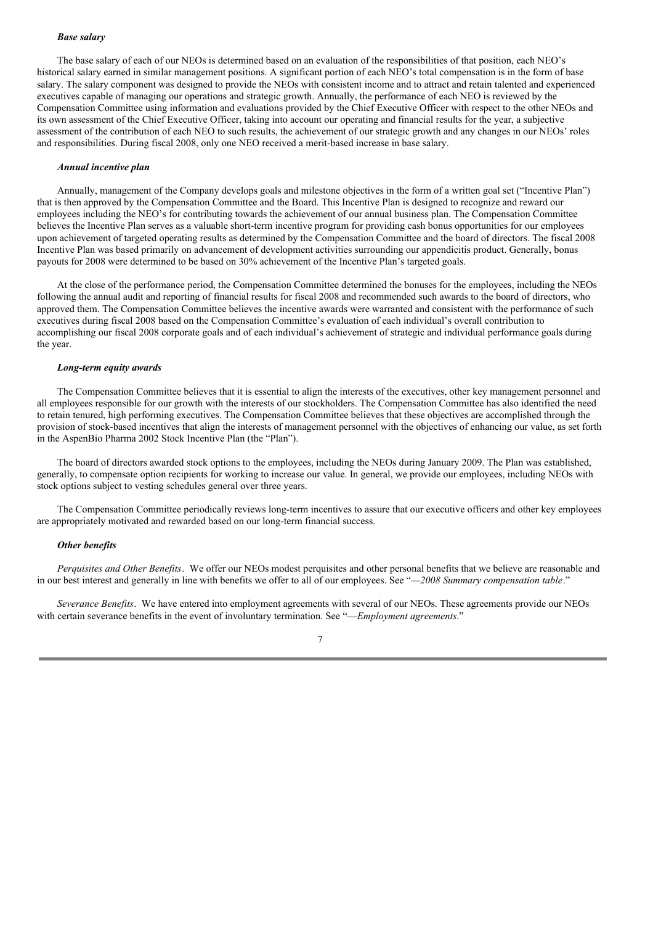#### *Base salary*

The base salary of each of our NEOs is determined based on an evaluation of the responsibilities of that position, each NEO's historical salary earned in similar management positions. A significant portion of each NEO's total compensation is in the form of base salary. The salary component was designed to provide the NEOs with consistent income and to attract and retain talented and experienced executives capable of managing our operations and strategic growth. Annually, the performance of each NEO is reviewed by the Compensation Committee using information and evaluations provided by the Chief Executive Officer with respect to the other NEOs and its own assessment of the Chief Executive Officer, taking into account our operating and financial results for the year, a subjective assessment of the contribution of each NEO to such results, the achievement of our strategic growth and any changes in our NEOs' roles and responsibilities. During fiscal 2008, only one NEO received a merit-based increase in base salary.

## *Annual incentive plan*

Annually, management of the Company develops goals and milestone objectives in the form of a written goal set ("Incentive Plan") that is then approved by the Compensation Committee and the Board. This Incentive Plan is designed to recognize and reward our employees including the NEO's for contributing towards the achievement of our annual business plan. The Compensation Committee believes the Incentive Plan serves as a valuable short-term incentive program for providing cash bonus opportunities for our employees upon achievement of targeted operating results as determined by the Compensation Committee and the board of directors. The fiscal 2008 Incentive Plan was based primarily on advancement of development activities surrounding our appendicitis product. Generally, bonus payouts for 2008 were determined to be based on 30% achievement of the Incentive Plan's targeted goals.

At the close of the performance period, the Compensation Committee determined the bonuses for the employees, including the NEOs following the annual audit and reporting of financial results for fiscal 2008 and recommended such awards to the board of directors, who approved them. The Compensation Committee believes the incentive awards were warranted and consistent with the performance of such executives during fiscal 2008 based on the Compensation Committee's evaluation of each individual's overall contribution to accomplishing our fiscal 2008 corporate goals and of each individual's achievement of strategic and individual performance goals during the year.

#### *Long-term equity awards*

The Compensation Committee believes that it is essential to align the interests of the executives, other key management personnel and all employees responsible for our growth with the interests of our stockholders. The Compensation Committee has also identified the need to retain tenured, high performing executives. The Compensation Committee believes that these objectives are accomplished through the provision of stock-based incentives that align the interests of management personnel with the objectives of enhancing our value, as set forth in the AspenBio Pharma 2002 Stock Incentive Plan (the "Plan").

The board of directors awarded stock options to the employees, including the NEOs during January 2009. The Plan was established, generally, to compensate option recipients for working to increase our value. In general, we provide our employees, including NEOs with stock options subject to vesting schedules general over three years.

The Compensation Committee periodically reviews long-term incentives to assure that our executive officers and other key employees are appropriately motivated and rewarded based on our long-term financial success.

#### *Other benefits*

*Perquisites and Other Benefits*. We offer our NEOs modest perquisites and other personal benefits that we believe are reasonable and in our best interest and generally in line with benefits we offer to all of our employees. See "*—2008 Summary compensation table*."

*Severance Benefits*. We have entered into employment agreements with several of our NEOs. These agreements provide our NEOs with certain severance benefits in the event of involuntary termination. See "—*Employment agreements.*"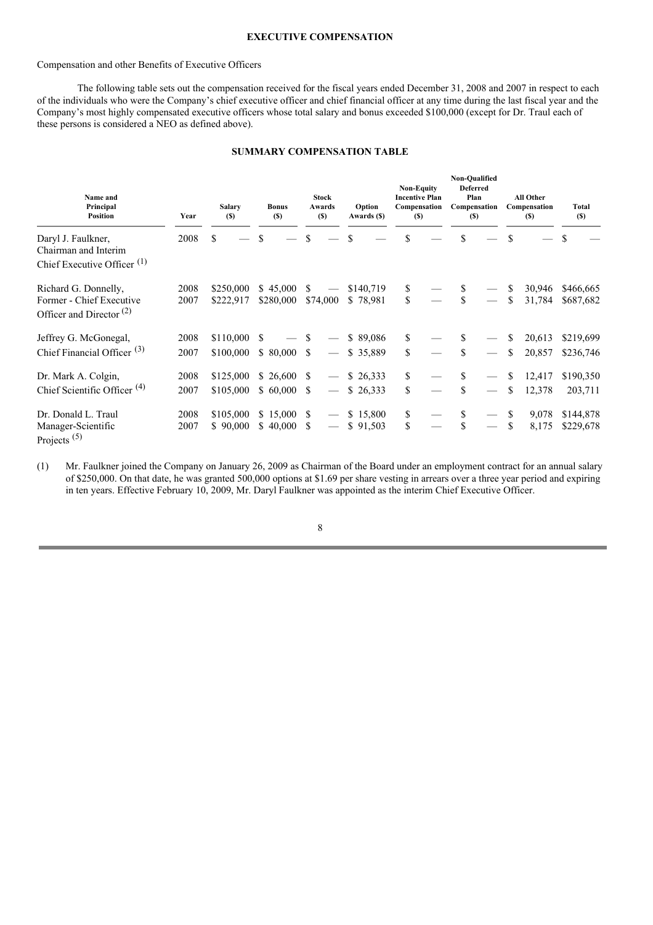## **EXECUTIVE COMPENSATION**

# Compensation and other Benefits of Executive Officers

The following table sets out the compensation received for the fiscal years ended December 31, 2008 and 2007 in respect to each of the individuals who were the Company's chief executive officer and chief financial officer at any time during the last fiscal year and the Company's most highly compensated executive officers whose total salary and bonus exceeded \$100,000 (except for Dr. Traul each of these persons is considered a NEO as defined above).

## **SUMMARY COMPENSATION TABLE**

| Name and<br>Principal<br><b>Position</b>                                                | Year         | Salary<br>(S)          | <b>Bonus</b><br>(S)          | <b>Stock</b><br>Awards<br>(S)             | Option<br>Awards (\$) | <b>Non-Equity</b><br><b>Incentive Plan</b><br>Compensation<br><b>(S)</b> | Non-Qualified<br><b>Deferred</b><br>Plan<br>Compensation<br><b>(S)</b> | <b>All Other</b><br>Compensation<br>$(s)$ | Total<br>(S)           |
|-----------------------------------------------------------------------------------------|--------------|------------------------|------------------------------|-------------------------------------------|-----------------------|--------------------------------------------------------------------------|------------------------------------------------------------------------|-------------------------------------------|------------------------|
| Daryl J. Faulkner,<br>Chairman and Interim<br>Chief Executive Officer $(1)$             | 2008         | \$                     | -S                           | \$.                                       | \$                    |                                                                          | S                                                                      | \$.                                       | \$.                    |
| Richard G. Donnelly,<br>Former - Chief Executive<br>Officer and Director <sup>(2)</sup> | 2008<br>2007 | \$250,000<br>\$222,917 | \$45,000<br>\$280,000        | S.<br>\$74,000                            | \$140,719<br>\$78,981 | \$<br>\$                                                                 | \$<br>\$                                                               | 30,946<br>\$<br>31,784                    | \$466,665<br>\$687,682 |
| Jeffrey G. McGonegal,<br>Chief Financial Officer <sup>(3)</sup>                         | 2008<br>2007 | \$110,000<br>\$100,000 | <sup>S</sup><br>$$80,000$ \$ | S                                         | \$89,086<br>\$35,889  | \$<br>\$                                                                 | \$<br>\$                                                               | 20,613<br>S<br>\$<br>20,857               | \$219,699<br>\$236,746 |
| Dr. Mark A. Colgin,<br>Chief Scientific Officer <sup>(4)</sup>                          | 2008<br>2007 | \$125,000<br>\$105,000 | $$26,600$ \, \$<br>\$60,000  | <sup>\$</sup><br>$\overline{\phantom{m}}$ | \$26,333<br>\$26,333  | S.<br>\$                                                                 | \$<br>\$                                                               | 12,417<br>S<br>\$<br>12,378               | \$190,350<br>203,711   |
| Dr. Donald L. Traul<br>Manager-Scientific<br>Projects <sup><math>(5)</math></sup>       | 2008<br>2007 | \$105,000<br>\$90,000  | \$15,000<br>\$40,000         | S.<br>\$<br>$\overline{\phantom{m}}$      | \$15,800<br>\$91,503  | \$<br>\$                                                                 | \$<br>\$                                                               | 9,078<br>\$<br>\$<br>8,175                | \$144,878<br>\$229,678 |

(1) Mr. Faulkner joined the Company on January 26, 2009 as Chairman of the Board under an employment contract for an annual salary of \$250,000. On that date, he was granted 500,000 options at \$1.69 per share vesting in arrears over a three year period and expiring in ten years. Effective February 10, 2009, Mr. Daryl Faulkner was appointed as the interim Chief Executive Officer.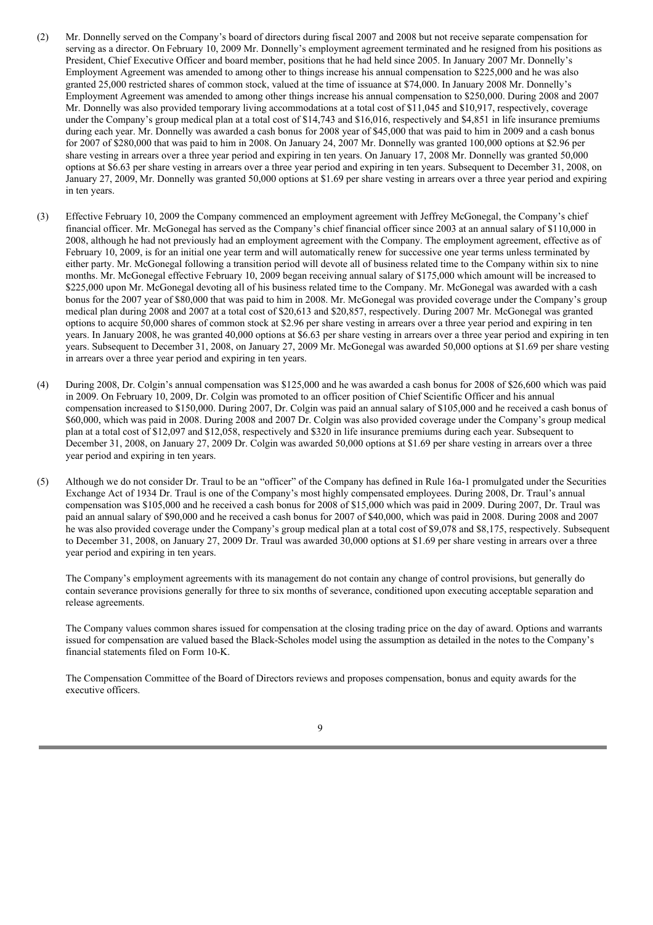- (2) Mr. Donnelly served on the Company's board of directors during fiscal 2007 and 2008 but not receive separate compensation for serving as a director. On February 10, 2009 Mr. Donnelly's employment agreement terminated and he resigned from his positions as President, Chief Executive Officer and board member, positions that he had held since 2005. In January 2007 Mr. Donnelly's Employment Agreement was amended to among other to things increase his annual compensation to \$225,000 and he was also granted 25,000 restricted shares of common stock, valued at the time of issuance at \$74,000. In January 2008 Mr. Donnelly's Employment Agreement was amended to among other things increase his annual compensation to \$250,000. During 2008 and 2007 Mr. Donnelly was also provided temporary living accommodations at a total cost of \$11,045 and \$10,917, respectively, coverage under the Company's group medical plan at a total cost of \$14,743 and \$16,016, respectively and \$4,851 in life insurance premiums during each year. Mr. Donnelly was awarded a cash bonus for 2008 year of \$45,000 that was paid to him in 2009 and a cash bonus for 2007 of \$280,000 that was paid to him in 2008. On January 24, 2007 Mr. Donnelly was granted 100,000 options at \$2.96 per share vesting in arrears over a three year period and expiring in ten years. On January 17, 2008 Mr. Donnelly was granted 50,000 options at \$6.63 per share vesting in arrears over a three year period and expiring in ten years. Subsequent to December 31, 2008, on January 27, 2009, Mr. Donnelly was granted 50,000 options at \$1.69 per share vesting in arrears over a three year period and expiring in ten years.
- (3) Effective February 10, 2009 the Company commenced an employment agreement with Jeffrey McGonegal, the Company's chief financial officer. Mr. McGonegal has served as the Company's chief financial officer since 2003 at an annual salary of \$110,000 in 2008, although he had not previously had an employment agreement with the Company. The employment agreement, effective as of February 10, 2009, is for an initial one year term and will automatically renew for successive one year terms unless terminated by either party. Mr. McGonegal following a transition period will devote all of business related time to the Company within six to nine months. Mr. McGonegal effective February 10, 2009 began receiving annual salary of \$175,000 which amount will be increased to \$225,000 upon Mr. McGonegal devoting all of his business related time to the Company. Mr. McGonegal was awarded with a cash bonus for the 2007 year of \$80,000 that was paid to him in 2008. Mr. McGonegal was provided coverage under the Company's group medical plan during 2008 and 2007 at a total cost of \$20,613 and \$20,857, respectively. During 2007 Mr. McGonegal was granted options to acquire 50,000 shares of common stock at \$2.96 per share vesting in arrears over a three year period and expiring in ten years. In January 2008, he was granted 40,000 options at \$6.63 per share vesting in arrears over a three year period and expiring in ten years. Subsequent to December 31, 2008, on January 27, 2009 Mr. McGonegal was awarded 50,000 options at \$1.69 per share vesting in arrears over a three year period and expiring in ten years.
- (4) During 2008, Dr. Colgin's annual compensation was \$125,000 and he was awarded a cash bonus for 2008 of \$26,600 which was paid in 2009. On February 10, 2009, Dr. Colgin was promoted to an officer position of Chief Scientific Officer and his annual compensation increased to \$150,000. During 2007, Dr. Colgin was paid an annual salary of \$105,000 and he received a cash bonus of \$60,000, which was paid in 2008. During 2008 and 2007 Dr. Colgin was also provided coverage under the Company's group medical plan at a total cost of \$12,097 and \$12,058, respectively and \$320 in life insurance premiums during each year. Subsequent to December 31, 2008, on January 27, 2009 Dr. Colgin was awarded 50,000 options at \$1.69 per share vesting in arrears over a three year period and expiring in ten years.
- (5) Although we do not consider Dr. Traul to be an "officer" of the Company has defined in Rule 16a-1 promulgated under the Securities Exchange Act of 1934 Dr. Traul is one of the Company's most highly compensated employees. During 2008, Dr. Traul's annual compensation was \$105,000 and he received a cash bonus for 2008 of \$15,000 which was paid in 2009. During 2007, Dr. Traul was paid an annual salary of \$90,000 and he received a cash bonus for 2007 of \$40,000, which was paid in 2008. During 2008 and 2007 he was also provided coverage under the Company's group medical plan at a total cost of \$9,078 and \$8,175, respectively. Subsequent to December 31, 2008, on January 27, 2009 Dr. Traul was awarded 30,000 options at \$1.69 per share vesting in arrears over a three year period and expiring in ten years.

The Company's employment agreements with its management do not contain any change of control provisions, but generally do contain severance provisions generally for three to six months of severance, conditioned upon executing acceptable separation and release agreements.

The Company values common shares issued for compensation at the closing trading price on the day of award. Options and warrants issued for compensation are valued based the Black-Scholes model using the assumption as detailed in the notes to the Company's financial statements filed on Form 10-K.

The Compensation Committee of the Board of Directors reviews and proposes compensation, bonus and equity awards for the executive officers.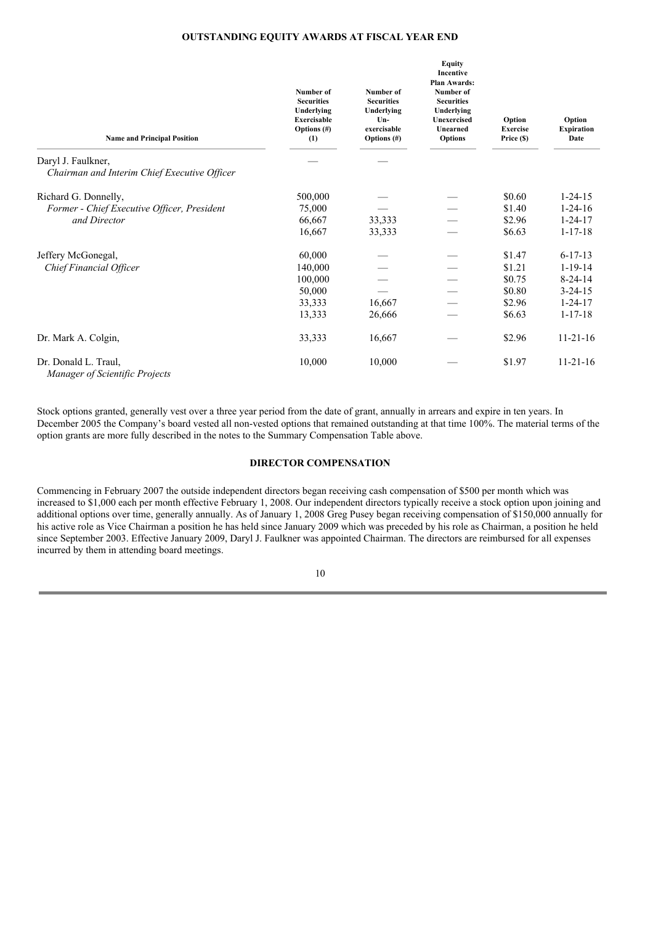## **OUTSTANDING EQUITY AWARDS AT FISCAL YEAR END**

| <b>Name and Principal Position</b>                     | Number of<br><b>Securities</b><br>Underlying<br><b>Exercisable</b><br>Options $(\#)$<br>(1) | Number of<br><b>Securities</b><br>Underlying<br>Un-<br>exercisable<br>Options $(\#)$ | <b>Equity</b><br>Incentive<br><b>Plan Awards:</b><br>Number of<br><b>Securities</b><br>Underlying<br>Unexercised<br>Unearned<br><b>Options</b> | Option<br><b>Exercise</b><br>Price (\$) | Option<br><b>Expiration</b><br>Date |
|--------------------------------------------------------|---------------------------------------------------------------------------------------------|--------------------------------------------------------------------------------------|------------------------------------------------------------------------------------------------------------------------------------------------|-----------------------------------------|-------------------------------------|
| Daryl J. Faulkner,                                     |                                                                                             |                                                                                      |                                                                                                                                                |                                         |                                     |
| Chairman and Interim Chief Executive Officer           |                                                                                             |                                                                                      |                                                                                                                                                |                                         |                                     |
| Richard G. Donnelly,                                   | 500,000                                                                                     |                                                                                      |                                                                                                                                                | \$0.60                                  | $1 - 24 - 15$                       |
| Former - Chief Executive Officer, President            | 75,000                                                                                      |                                                                                      |                                                                                                                                                | \$1.40                                  | $1 - 24 - 16$                       |
| and Director                                           | 66,667                                                                                      | 33,333                                                                               |                                                                                                                                                | \$2.96                                  | $1 - 24 - 17$                       |
|                                                        | 16,667                                                                                      | 33,333                                                                               |                                                                                                                                                | \$6.63                                  | $1 - 17 - 18$                       |
| Jeffery McGonegal,                                     | 60,000                                                                                      |                                                                                      |                                                                                                                                                | \$1.47                                  | $6 - 17 - 13$                       |
| Chief Financial Officer                                | 140,000                                                                                     |                                                                                      |                                                                                                                                                | \$1.21                                  | $1 - 19 - 14$                       |
|                                                        | 100,000                                                                                     |                                                                                      |                                                                                                                                                | \$0.75                                  | $8 - 24 - 14$                       |
|                                                        | 50,000                                                                                      |                                                                                      |                                                                                                                                                | \$0.80                                  | $3 - 24 - 15$                       |
|                                                        | 33,333                                                                                      | 16,667                                                                               |                                                                                                                                                | \$2.96                                  | $1 - 24 - 17$                       |
|                                                        | 13,333                                                                                      | 26,666                                                                               |                                                                                                                                                | \$6.63                                  | $1 - 17 - 18$                       |
| Dr. Mark A. Colgin,                                    | 33,333                                                                                      | 16,667                                                                               |                                                                                                                                                | \$2.96                                  | $11 - 21 - 16$                      |
| Dr. Donald L. Traul,<br>Manager of Scientific Projects | 10,000                                                                                      | 10,000                                                                               |                                                                                                                                                | \$1.97                                  | $11 - 21 - 16$                      |

Stock options granted, generally vest over a three year period from the date of grant, annually in arrears and expire in ten years. In December 2005 the Company's board vested all non-vested options that remained outstanding at that time 100%. The material terms of the option grants are more fully described in the notes to the Summary Compensation Table above.

## **DIRECTOR COMPENSATION**

Commencing in February 2007 the outside independent directors began receiving cash compensation of \$500 per month which was increased to \$1,000 each per month effective February 1, 2008. Our independent directors typically receive a stock option upon joining and additional options over time, generally annually. As of January 1, 2008 Greg Pusey began receiving compensation of \$150,000 annually for his active role as Vice Chairman a position he has held since January 2009 which was preceded by his role as Chairman, a position he held since September 2003. Effective January 2009, Daryl J. Faulkner was appointed Chairman. The directors are reimbursed for all expenses incurred by them in attending board meetings.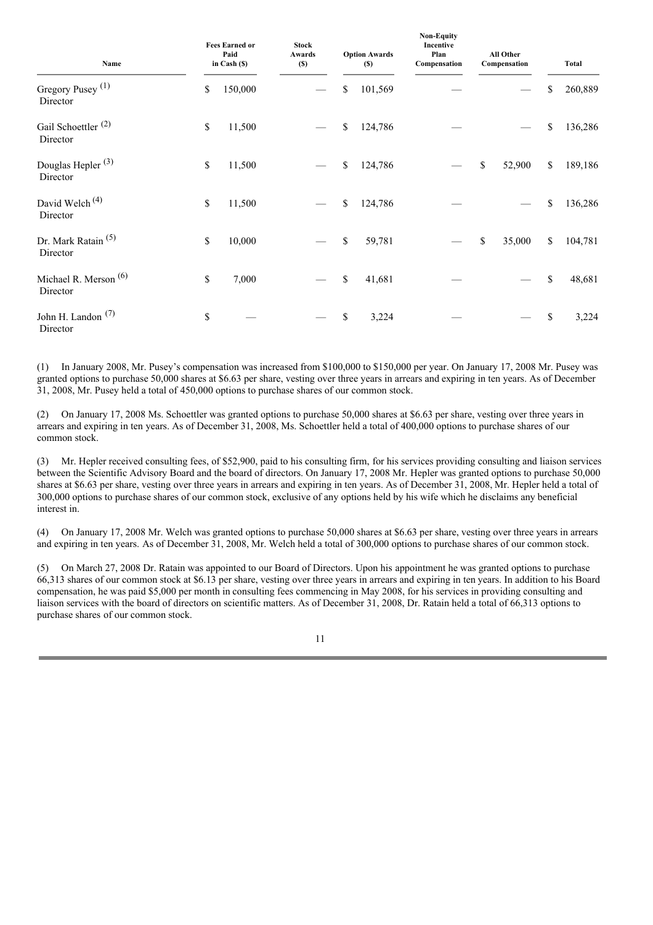| Name                                         | <b>Fees Earned or</b><br>Paid<br>in Cash $(S)$ | <b>Stock</b><br><b>Awards</b><br>(S) | <b>Option Awards</b><br>(S) | <b>Non-Equity</b><br>Incentive<br>Plan<br>Compensation | <b>All Other</b><br>Compensation | <b>Total</b>  |
|----------------------------------------------|------------------------------------------------|--------------------------------------|-----------------------------|--------------------------------------------------------|----------------------------------|---------------|
| Gregory Pusey <sup>(1)</sup><br>Director     | \$<br>150,000                                  |                                      | \$<br>101,569               |                                                        |                                  | \$<br>260,889 |
| Gail Schoettler <sup>(2)</sup><br>Director   | \$<br>11,500                                   |                                      | \$<br>124,786               |                                                        |                                  | \$<br>136,286 |
| Douglas Hepler $(3)$<br>Director             | \$<br>11,500                                   |                                      | \$<br>124,786               |                                                        | \$<br>52,900                     | \$<br>189,186 |
| David Welch <sup>(4)</sup><br>Director       | \$<br>11,500                                   |                                      | \$<br>124,786               |                                                        |                                  | \$<br>136,286 |
| Dr. Mark Ratain <sup>(5)</sup><br>Director   | \$<br>10,000                                   |                                      | \$<br>59,781                |                                                        | \$<br>35,000                     | \$<br>104,781 |
| Michael R. Merson <sup>(6)</sup><br>Director | \$<br>7,000                                    |                                      | \$<br>41,681                |                                                        |                                  | \$<br>48,681  |
| John H. Landon $(7)$<br>Director             | \$                                             |                                      | \$<br>3,224                 |                                                        |                                  | \$<br>3,224   |

(1) In January 2008, Mr. Pusey's compensation was increased from \$100,000 to \$150,000 per year. On January 17, 2008 Mr. Pusey was granted options to purchase 50,000 shares at \$6.63 per share, vesting over three years in arrears and expiring in ten years. As of December 31, 2008, Mr. Pusey held a total of 450,000 options to purchase shares of our common stock.

(2) On January 17, 2008 Ms. Schoettler was granted options to purchase 50,000 shares at \$6.63 per share, vesting over three years in arrears and expiring in ten years. As of December 31, 2008, Ms. Schoettler held a total of 400,000 options to purchase shares of our common stock.

(3) Mr. Hepler received consulting fees, of \$52,900, paid to his consulting firm, for his services providing consulting and liaison services between the Scientific Advisory Board and the board of directors. On January 17, 2008 Mr. Hepler was granted options to purchase 50,000 shares at \$6.63 per share, vesting over three years in arrears and expiring in ten years. As of December 31, 2008, Mr. Hepler held a total of 300,000 options to purchase shares of our common stock, exclusive of any options held by his wife which he disclaims any beneficial interest in.

(4) On January 17, 2008 Mr. Welch was granted options to purchase 50,000 shares at \$6.63 per share, vesting over three years in arrears and expiring in ten years. As of December 31, 2008, Mr. Welch held a total of 300,000 options to purchase shares of our common stock.

(5) On March 27, 2008 Dr. Ratain was appointed to our Board of Directors. Upon his appointment he was granted options to purchase 66,313 shares of our common stock at \$6.13 per share, vesting over three years in arrears and expiring in ten years. In addition to his Board compensation, he was paid \$5,000 per month in consulting fees commencing in May 2008, for his services in providing consulting and liaison services with the board of directors on scientific matters. As of December 31, 2008, Dr. Ratain held a total of 66,313 options to purchase shares of our common stock.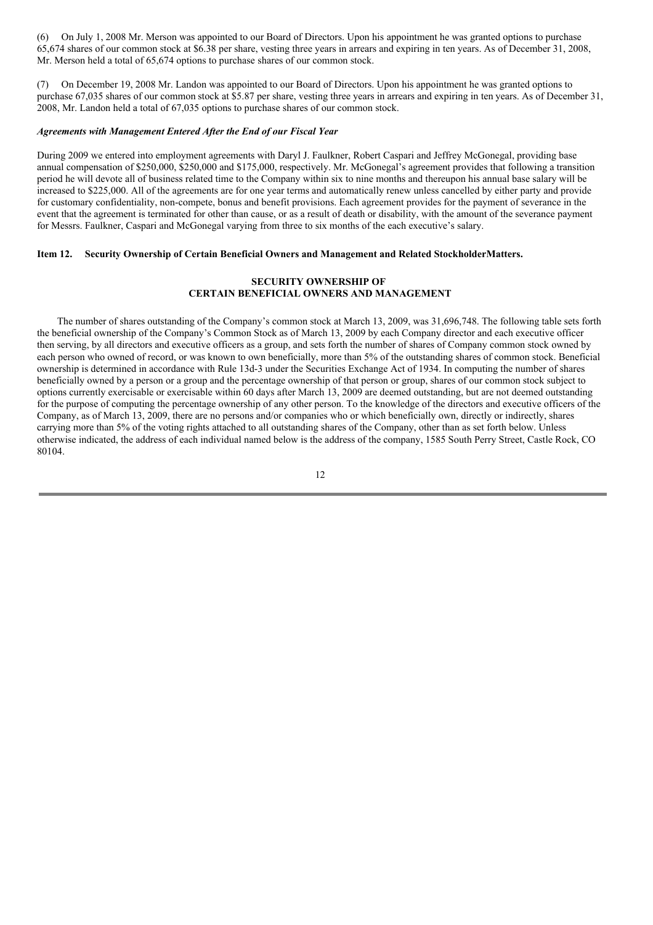(6) On July 1, 2008 Mr. Merson was appointed to our Board of Directors. Upon his appointment he was granted options to purchase 65,674 shares of our common stock at \$6.38 per share, vesting three years in arrears and expiring in ten years. As of December 31, 2008, Mr. Merson held a total of 65,674 options to purchase shares of our common stock.

(7) On December 19, 2008 Mr. Landon was appointed to our Board of Directors. Upon his appointment he was granted options to purchase 67,035 shares of our common stock at \$5.87 per share, vesting three years in arrears and expiring in ten years. As of December 31, 2008, Mr. Landon held a total of 67,035 options to purchase shares of our common stock.

#### *Agreements with Management Entered After the End of our Fiscal Year*

During 2009 we entered into employment agreements with Daryl J. Faulkner, Robert Caspari and Jeffrey McGonegal, providing base annual compensation of \$250,000, \$250,000 and \$175,000, respectively. Mr. McGonegal's agreement provides that following a transition period he will devote all of business related time to the Company within six to nine months and thereupon his annual base salary will be increased to \$225,000. All of the agreements are for one year terms and automatically renew unless cancelled by either party and provide for customary confidentiality, non-compete, bonus and benefit provisions. Each agreement provides for the payment of severance in the event that the agreement is terminated for other than cause, or as a result of death or disability, with the amount of the severance payment for Messrs. Faulkner, Caspari and McGonegal varying from three to six months of the each executive's salary.

## **Item 12. Security Ownership of Certain Beneficial Owners and Management and Related StockholderMatters.**

## **SECURITY OWNERSHIP OF CERTAIN BENEFICIAL OWNERS AND MANAGEMENT**

The number of shares outstanding of the Company's common stock at March 13, 2009, was 31,696,748. The following table sets forth the beneficial ownership of the Company's Common Stock as of March 13, 2009 by each Company director and each executive officer then serving, by all directors and executive officers as a group, and sets forth the number of shares of Company common stock owned by each person who owned of record, or was known to own beneficially, more than 5% of the outstanding shares of common stock. Beneficial ownership is determined in accordance with Rule 13d-3 under the Securities Exchange Act of 1934. In computing the number of shares beneficially owned by a person or a group and the percentage ownership of that person or group, shares of our common stock subject to options currently exercisable or exercisable within 60 days after March 13, 2009 are deemed outstanding, but are not deemed outstanding for the purpose of computing the percentage ownership of any other person. To the knowledge of the directors and executive officers of the Company, as of March 13, 2009, there are no persons and/or companies who or which beneficially own, directly or indirectly, shares carrying more than 5% of the voting rights attached to all outstanding shares of the Company, other than as set forth below. Unless otherwise indicated, the address of each individual named below is the address of the company, 1585 South Perry Street, Castle Rock, CO 80104.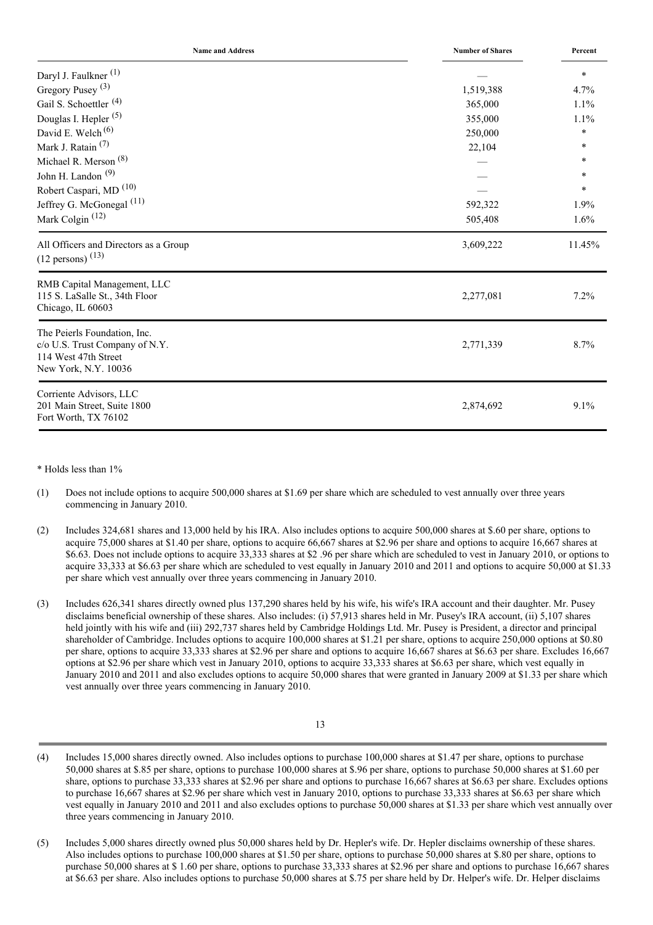| <b>Name and Address</b>                                                                                        | <b>Number of Shares</b> | Percent |  |
|----------------------------------------------------------------------------------------------------------------|-------------------------|---------|--|
| Daryl J. Faulkner <sup>(1)</sup>                                                                               |                         | $\ast$  |  |
| Gregory Pusey $(3)$                                                                                            | 1,519,388               | 4.7%    |  |
| Gail S. Schoettler <sup>(4)</sup>                                                                              | 365,000                 | 1.1%    |  |
| Douglas I. Hepler $(5)$                                                                                        | 355,000                 | $1.1\%$ |  |
| David E. Welch <sup>(6)</sup>                                                                                  | 250,000                 | $\star$ |  |
| Mark J. Ratain <sup>(7)</sup>                                                                                  | 22,104                  | $\star$ |  |
| Michael R. Merson <sup>(8)</sup>                                                                               |                         | $\star$ |  |
| John H. Landon <sup>(9)</sup>                                                                                  |                         |         |  |
| Robert Caspari, MD <sup>(10)</sup>                                                                             |                         | $\ast$  |  |
| Jeffrey G. McGonegal (11)                                                                                      | 592,322                 | 1.9%    |  |
| Mark Colgin <sup>(12)</sup>                                                                                    | 505,408                 | 1.6%    |  |
| All Officers and Directors as a Group<br>$(12 \text{ persons})$ $(13)$                                         | 3,609,222               | 11.45%  |  |
| RMB Capital Management, LLC<br>115 S. LaSalle St., 34th Floor<br>Chicago, IL 60603                             | 2,277,081               | 7.2%    |  |
| The Peierls Foundation, Inc.<br>c/o U.S. Trust Company of N.Y.<br>114 West 47th Street<br>New York, N.Y. 10036 | 2,771,339               | 8.7%    |  |
| Corriente Advisors, LLC<br>201 Main Street, Suite 1800<br>Fort Worth, TX 76102                                 | 2,874,692               | $9.1\%$ |  |

\* Holds less than 1%

- (1) Does not include options to acquire 500,000 shares at \$1.69 per share which are scheduled to vest annually over three years commencing in January 2010.
- (2) Includes 324,681 shares and 13,000 held by his IRA. Also includes options to acquire 500,000 shares at \$.60 per share, options to acquire 75,000 shares at \$1.40 per share, options to acquire 66,667 shares at \$2.96 per share and options to acquire 16,667 shares at \$6.63. Does not include options to acquire 33,333 shares at \$2 .96 per share which are scheduled to vest in January 2010, or options to acquire 33,333 at \$6.63 per share which are scheduled to vest equally in January 2010 and 2011 and options to acquire 50,000 at \$1.33 per share which vest annually over three years commencing in January 2010.
- (3) Includes 626,341 shares directly owned plus 137,290 shares held by his wife, his wife's IRA account and their daughter. Mr. Pusey disclaims beneficial ownership of these shares. Also includes: (i) 57,913 shares held in Mr. Pusey's IRA account, (ii) 5,107 shares held jointly with his wife and (iii) 292,737 shares held by Cambridge Holdings Ltd. Mr. Pusey is President, a director and principal shareholder of Cambridge. Includes options to acquire 100,000 shares at \$1.21 per share, options to acquire 250,000 options at \$0.80 per share, options to acquire 33,333 shares at \$2.96 per share and options to acquire 16,667 shares at \$6.63 per share. Excludes 16,667 options at \$2.96 per share which vest in January 2010, options to acquire 33,333 shares at \$6.63 per share, which vest equally in January 2010 and 2011 and also excludes options to acquire 50,000 shares that were granted in January 2009 at \$1.33 per share which vest annually over three years commencing in January 2010.

- (4) Includes 15,000 shares directly owned. Also includes options to purchase 100,000 shares at \$1.47 per share, options to purchase 50,000 shares at \$.85 per share, options to purchase 100,000 shares at \$.96 per share, options to purchase 50,000 shares at \$1.60 per share, options to purchase 33,333 shares at \$2.96 per share and options to purchase 16,667 shares at \$6.63 per share. Excludes options to purchase 16,667 shares at \$2.96 per share which vest in January 2010, options to purchase 33,333 shares at \$6.63 per share which vest equally in January 2010 and 2011 and also excludes options to purchase 50,000 shares at \$1.33 per share which vest annually over three years commencing in January 2010.
- (5) Includes 5,000 shares directly owned plus 50,000 shares held by Dr. Hepler's wife. Dr. Hepler disclaims ownership of these shares. Also includes options to purchase 100,000 shares at \$1.50 per share, options to purchase 50,000 shares at \$.80 per share, options to purchase 50,000 shares at \$ 1.60 per share, options to purchase 33,333 shares at \$2.96 per share and options to purchase 16,667 shares at \$6.63 per share. Also includes options to purchase 50,000 shares at \$.75 per share held by Dr. Helper's wife. Dr. Helper disclaims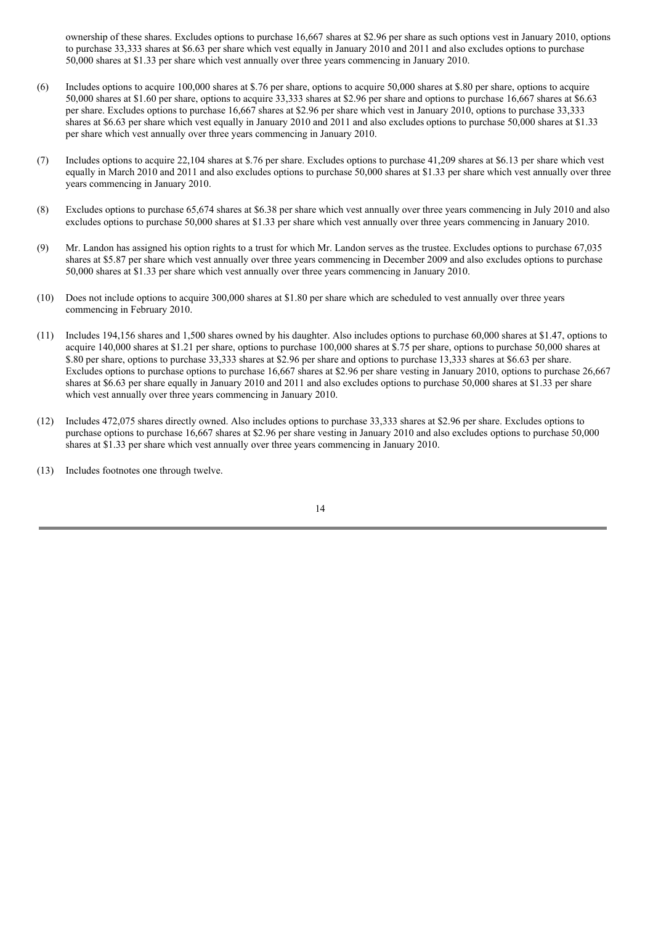ownership of these shares. Excludes options to purchase 16,667 shares at \$2.96 per share as such options vest in January 2010, options to purchase 33,333 shares at \$6.63 per share which vest equally in January 2010 and 2011 and also excludes options to purchase 50,000 shares at \$1.33 per share which vest annually over three years commencing in January 2010.

- (6) Includes options to acquire 100,000 shares at \$.76 per share, options to acquire 50,000 shares at \$.80 per share, options to acquire 50,000 shares at \$1.60 per share, options to acquire 33,333 shares at \$2.96 per share and options to purchase 16,667 shares at \$6.63 per share. Excludes options to purchase 16,667 shares at \$2.96 per share which vest in January 2010, options to purchase 33,333 shares at \$6.63 per share which vest equally in January 2010 and 2011 and also excludes options to purchase 50,000 shares at \$1.33 per share which vest annually over three years commencing in January 2010.
- (7) Includes options to acquire 22,104 shares at \$.76 per share. Excludes options to purchase 41,209 shares at \$6.13 per share which vest equally in March 2010 and 2011 and also excludes options to purchase 50,000 shares at \$1.33 per share which vest annually over three years commencing in January 2010.
- (8) Excludes options to purchase 65,674 shares at \$6.38 per share which vest annually over three years commencing in July 2010 and also excludes options to purchase 50,000 shares at \$1.33 per share which vest annually over three years commencing in January 2010.
- (9) Mr. Landon has assigned his option rights to a trust for which Mr. Landon serves as the trustee. Excludes options to purchase 67,035 shares at \$5.87 per share which vest annually over three years commencing in December 2009 and also excludes options to purchase 50,000 shares at \$1.33 per share which vest annually over three years commencing in January 2010.
- (10) Does not include options to acquire 300,000 shares at \$1.80 per share which are scheduled to vest annually over three years commencing in February 2010.
- (11) Includes 194,156 shares and 1,500 shares owned by his daughter. Also includes options to purchase 60,000 shares at \$1.47, options to acquire 140,000 shares at \$1.21 per share, options to purchase 100,000 shares at \$.75 per share, options to purchase 50,000 shares at \$.80 per share, options to purchase 33,333 shares at \$2.96 per share and options to purchase 13,333 shares at \$6.63 per share. Excludes options to purchase options to purchase 16,667 shares at \$2.96 per share vesting in January 2010, options to purchase 26,667 shares at \$6.63 per share equally in January 2010 and 2011 and also excludes options to purchase 50,000 shares at \$1.33 per share which vest annually over three years commencing in January 2010.
- (12) Includes 472,075 shares directly owned. Also includes options to purchase 33,333 shares at \$2.96 per share. Excludes options to purchase options to purchase 16,667 shares at \$2.96 per share vesting in January 2010 and also excludes options to purchase 50,000 shares at \$1.33 per share which vest annually over three years commencing in January 2010.
- (13) Includes footnotes one through twelve.

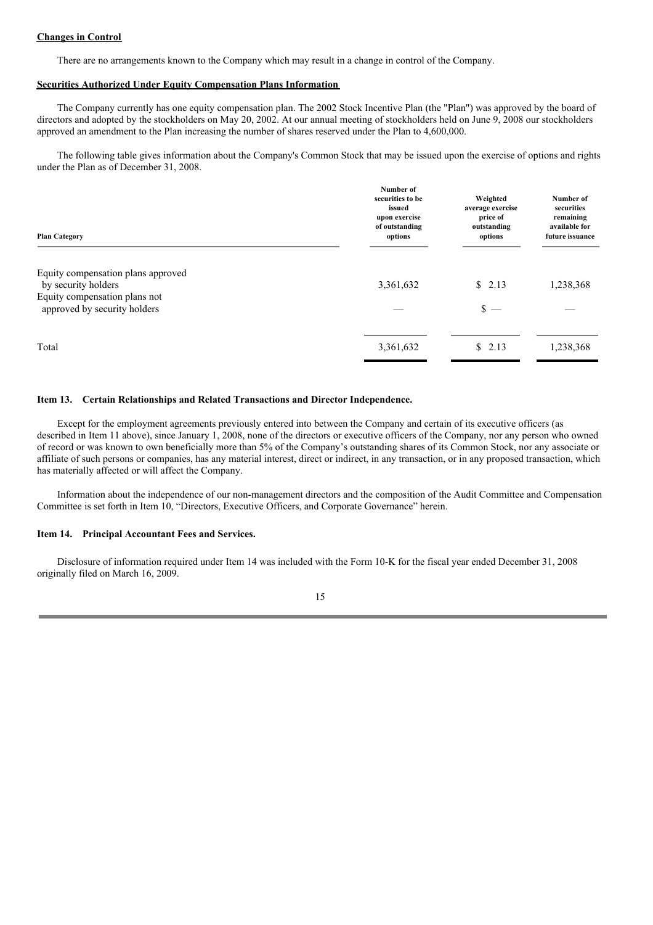# **Changes in Control**

There are no arrangements known to the Company which may result in a change in control of the Company.

## **Securities Authorized Under Equity Compensation Plans Information**

The Company currently has one equity compensation plan. The 2002 Stock Incentive Plan (the "Plan") was approved by the board of directors and adopted by the stockholders on May 20, 2002. At our annual meeting of stockholders held on June 9, 2008 our stockholders approved an amendment to the Plan increasing the number of shares reserved under the Plan to 4,600,000.

The following table gives information about the Company's Common Stock that may be issued upon the exercise of options and rights under the Plan as of December 31, 2008.

| <b>Plan Category</b>                                                                                                       | Number of<br>securities to be<br>issued<br>upon exercise<br>of outstanding<br>options | Weighted<br>average exercise<br>price of<br>outstanding<br>options | Number of<br>securities<br>remaining<br>available for<br>future issuance |
|----------------------------------------------------------------------------------------------------------------------------|---------------------------------------------------------------------------------------|--------------------------------------------------------------------|--------------------------------------------------------------------------|
| Equity compensation plans approved<br>by security holders<br>Equity compensation plans not<br>approved by security holders | 3,361,632                                                                             | \$2.13<br>\$<br>$\hspace{0.1mm}-\hspace{0.1mm}$                    | 1,238,368                                                                |
| Total                                                                                                                      | 3,361,632                                                                             | \$2.13                                                             | 1,238,368                                                                |

#### **Item 13. Certain Relationships and Related Transactions and Director Independence.**

Except for the employment agreements previously entered into between the Company and certain of its executive officers (as described in Item 11 above), since January 1, 2008, none of the directors or executive officers of the Company, nor any person who owned of record or was known to own beneficially more than 5% of the Company's outstanding shares of its Common Stock, nor any associate or affiliate of such persons or companies, has any material interest, direct or indirect, in any transaction, or in any proposed transaction, which has materially affected or will affect the Company.

Information about the independence of our non-management directors and the composition of the Audit Committee and Compensation Committee is set forth in Item 10, "Directors, Executive Officers, and Corporate Governance" herein.

## **Item 14. Principal Accountant Fees and Services.**

Disclosure of information required under Item 14 was included with the Form 10-K for the fiscal year ended December 31, 2008 originally filed on March 16, 2009.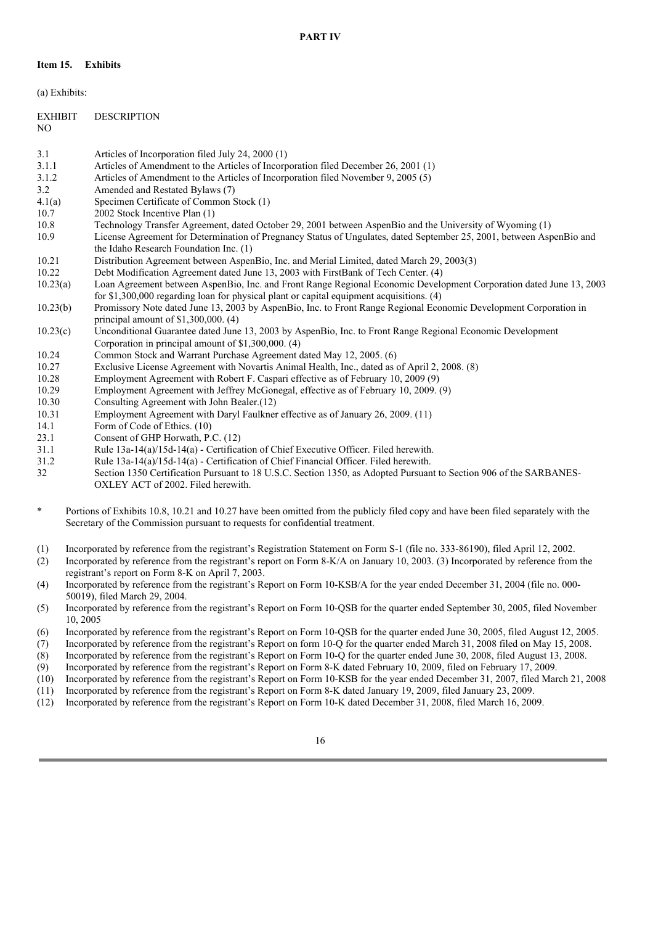# **Item 15. Exhibits**

(a) Exhibits:

- NO
- 3.1 Articles of Incorporation filed July 24, 2000 (1)
- 3.1.1 Articles of Amendment to the Articles of Incorporation filed December 26, 2001 (1)
- 3.1.2 Articles of Amendment to the Articles of Incorporation filed November 9, 2005 (5)
- 3.2 Amended and Restated Bylaws (7)
- 4.1(a) Specimen Certificate of Common Stock (1)
- 10.7 2002 Stock Incentive Plan (1)
- 10.8 Technology Transfer Agreement, dated October 29, 2001 between AspenBio and the University of Wyoming (1)
- 10.9 License Agreement for Determination of Pregnancy Status of Ungulates, dated September 25, 2001, between AspenBio and the Idaho Research Foundation Inc. (1)
- 10.21 Distribution Agreement between AspenBio, Inc. and Merial Limited, dated March 29, 2003(3)
- 10.22 Debt Modification Agreement dated June 13, 2003 with FirstBank of Tech Center. (4)
- 10.23(a) Loan Agreement between AspenBio, Inc. and Front Range Regional Economic Development Corporation dated June 13, 2003 for \$1,300,000 regarding loan for physical plant or capital equipment acquisitions. (4)
- 10.23(b) Promissory Note dated June 13, 2003 by AspenBio, Inc. to Front Range Regional Economic Development Corporation in principal amount of \$1,300,000. (4)
- 10.23(c) Unconditional Guarantee dated June 13, 2003 by AspenBio, Inc. to Front Range Regional Economic Development Corporation in principal amount of \$1,300,000. (4)
- 10.24 Common Stock and Warrant Purchase Agreement dated May 12, 2005. (6)
- 10.27 Exclusive License Agreement with Novartis Animal Health, Inc., dated as of April 2, 2008. (8)
- 10.28 Employment Agreement with Robert F. Caspari effective as of February 10, 2009 (9)
- 10.29 Employment Agreement with Jeffrey McGonegal, effective as of February 10, 2009. (9)
- 10.30 Consulting Agreement with John Bealer.(12)
- 10.31 Employment Agreement with Daryl Faulkner effective as of January 26, 2009. (11)
- 14.1 Form of Code of Ethics. (10)
- 23.1 Consent of GHP Horwath, P.C. (12)
- 31.1 Rule 13a-14(a)/15d-14(a) Certification of Chief Executive Officer. Filed herewith.
- 31.2 Rule 13a-14(a)/15d-14(a) Certification of Chief Financial Officer. Filed herewith.
- 32 Section 1350 Certification Pursuant to 18 U.S.C. Section 1350, as Adopted Pursuant to Section 906 of the SARBANES-OXLEY ACT of 2002. Filed herewith.
- \* Portions of Exhibits 10.8, 10.21 and 10.27 have been omitted from the publicly filed copy and have been filed separately with the Secretary of the Commission pursuant to requests for confidential treatment.
- (1) Incorporated by reference from the registrant's Registration Statement on Form S-1 (file no. 333-86190), filed April 12, 2002.
- (2) Incorporated by reference from the registrant's report on Form 8-K/A on January 10, 2003. (3) Incorporated by reference from the registrant's report on Form 8-K on April 7, 2003.
- (4) Incorporated by reference from the registrant's Report on Form 10-KSB/A for the year ended December 31, 2004 (file no. 000- 50019), filed March 29, 2004.
- (5) Incorporated by reference from the registrant's Report on Form 10-QSB for the quarter ended September 30, 2005, filed November 10, 2005
- (6) Incorporated by reference from the registrant's Report on Form 10-QSB for the quarter ended June 30, 2005, filed August 12, 2005.
- (7) Incorporated by reference from the registrant's Report on form 10-Q for the quarter ended March 31, 2008 filed on May 15, 2008.
- (8) Incorporated by reference from the registrant's Report on Form 10-Q for the quarter ended June 30, 2008, filed August 13, 2008.
- (9) Incorporated by reference from the registrant's Report on Form 8-K dated February 10, 2009, filed on February 17, 2009.
- (10) Incorporated by reference from the registrant's Report on Form 10-KSB for the year ended December 31, 2007, filed March 21, 2008
- (11) Incorporated by reference from the registrant's Report on Form 8-K dated January 19, 2009, filed January 23, 2009.
- (12) Incorporated by reference from the registrant's Report on Form 10-K dated December 31, 2008, filed March 16, 2009.
	- 16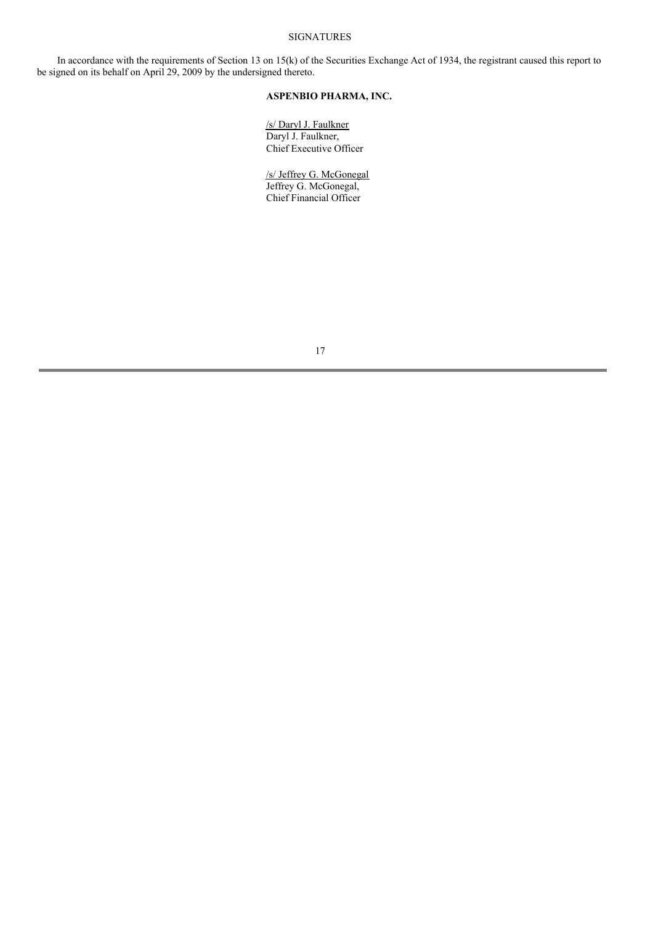# SIGNATURES

In accordance with the requirements of Section 13 on 15(k) of the Securities Exchange Act of 1934, the registrant caused this report to be signed on its behalf on April 29, 2009 by the undersigned thereto.

# **ASPENBIO PHARMA, INC.**

/s/ Daryl J. Faulkner Daryl J. Faulkner, Chief Executive Officer

/s/ Jeffrey G. McGonegal Jeffrey G. McGonegal, Chief Financial Officer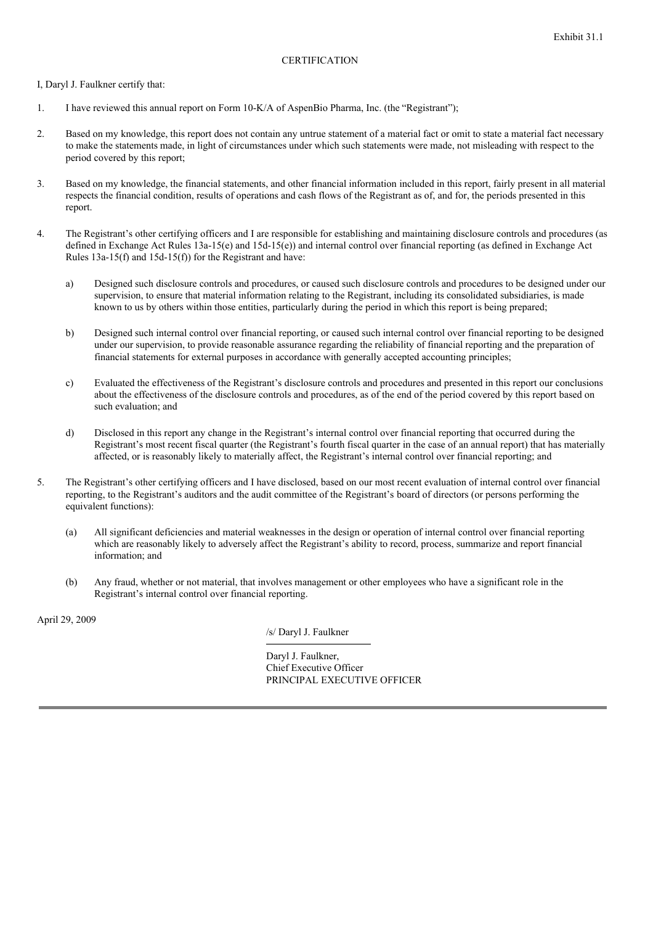#### **CERTIFICATION**

## I, Daryl J. Faulkner certify that:

- 1. I have reviewed this annual report on Form 10-K/A of AspenBio Pharma, Inc. (the "Registrant");
- 2. Based on my knowledge, this report does not contain any untrue statement of a material fact or omit to state a material fact necessary to make the statements made, in light of circumstances under which such statements were made, not misleading with respect to the period covered by this report;
- 3. Based on my knowledge, the financial statements, and other financial information included in this report, fairly present in all material respects the financial condition, results of operations and cash flows of the Registrant as of, and for, the periods presented in this report.
- 4. The Registrant's other certifying officers and I are responsible for establishing and maintaining disclosure controls and procedures (as defined in Exchange Act Rules 13a-15(e) and 15d-15(e)) and internal control over financial reporting (as defined in Exchange Act Rules 13a-15(f) and 15d-15(f)) for the Registrant and have:
	- a) Designed such disclosure controls and procedures, or caused such disclosure controls and procedures to be designed under our supervision, to ensure that material information relating to the Registrant, including its consolidated subsidiaries, is made known to us by others within those entities, particularly during the period in which this report is being prepared;
	- b) Designed such internal control over financial reporting, or caused such internal control over financial reporting to be designed under our supervision, to provide reasonable assurance regarding the reliability of financial reporting and the preparation of financial statements for external purposes in accordance with generally accepted accounting principles;
	- c) Evaluated the effectiveness of the Registrant's disclosure controls and procedures and presented in this report our conclusions about the effectiveness of the disclosure controls and procedures, as of the end of the period covered by this report based on such evaluation; and
	- d) Disclosed in this report any change in the Registrant's internal control over financial reporting that occurred during the Registrant's most recent fiscal quarter (the Registrant's fourth fiscal quarter in the case of an annual report) that has materially affected, or is reasonably likely to materially affect, the Registrant's internal control over financial reporting; and
- 5. The Registrant's other certifying officers and I have disclosed, based on our most recent evaluation of internal control over financial reporting, to the Registrant's auditors and the audit committee of the Registrant's board of directors (or persons performing the equivalent functions):
	- (a) All significant deficiencies and material weaknesses in the design or operation of internal control over financial reporting which are reasonably likely to adversely affect the Registrant's ability to record, process, summarize and report financial information; and
	- (b) Any fraud, whether or not material, that involves management or other employees who have a significant role in the Registrant's internal control over financial reporting.

April 29, 2009

/s/ Daryl J. Faulkner

Daryl J. Faulkner, Chief Executive Officer PRINCIPAL EXECUTIVE OFFICER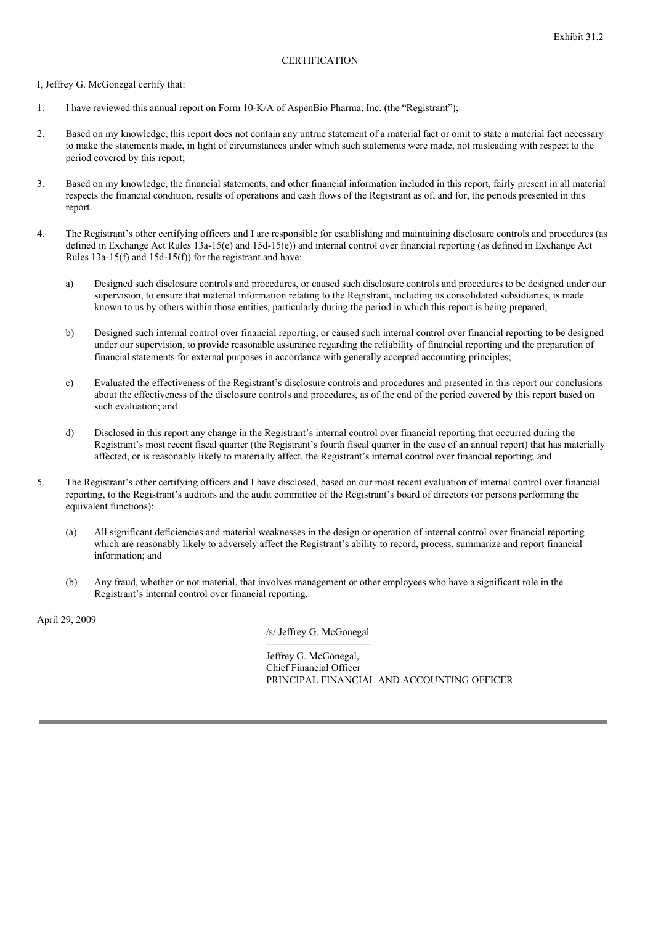## **CERTIFICATION**

I, Jeffrey G. McGonegal certify that:

- 1. I have reviewed this annual report on Form 10-K/A of AspenBio Pharma, Inc. (the "Registrant");
- 2. Based on my knowledge, this report does not contain any untrue statement of a material fact or omit to state a material fact necessary to make the statements made, in light of circumstances under which such statements were made, not misleading with respect to the period covered by this report;
- 3. Based on my knowledge, the financial statements, and other financial information included in this report, fairly present in all material respects the financial condition, results of operations and cash flows of the Registrant as of, and for, the periods presented in this report.
- 4. The Registrant's other certifying officers and I are responsible for establishing and maintaining disclosure controls and procedures (as defined in Exchange Act Rules 13a-15(e) and 15d-15(e)) and internal control over financial reporting (as defined in Exchange Act Rules 13a-15(f) and 15d-15(f)) for the registrant and have:
	- a) Designed such disclosure controls and procedures, or caused such disclosure controls and procedures to be designed under our supervision, to ensure that material information relating to the Registrant, including its consolidated subsidiaries, is made known to us by others within those entities, particularly during the period in which this report is being prepared;
	- b) Designed such internal control over financial reporting, or caused such internal control over financial reporting to be designed under our supervision, to provide reasonable assurance regarding the reliability of financial reporting and the preparation of financial statements for external purposes in accordance with generally accepted accounting principles;
	- c) Evaluated the effectiveness of the Registrant's disclosure controls and procedures and presented in this report our conclusions about the effectiveness of the disclosure controls and procedures, as of the end of the period covered by this report based on such evaluation; and
	- d) Disclosed in this report any change in the Registrant's internal control over financial reporting that occurred during the Registrant's most recent fiscal quarter (the Registrant's fourth fiscal quarter in the case of an annual report) that has materially affected, or is reasonably likely to materially affect, the Registrant's internal control over financial reporting; and
- 5. The Registrant's other certifying officers and I have disclosed, based on our most recent evaluation of internal control over financial reporting, to the Registrant's auditors and the audit committee of the Registrant's board of directors (or persons performing the equivalent functions):
	- (a) All significant deficiencies and material weaknesses in the design or operation of internal control over financial reporting which are reasonably likely to adversely affect the Registrant's ability to record, process, summarize and report financial information; and
	- (b) Any fraud, whether or not material, that involves management or other employees who have a significant role in the Registrant's internal control over financial reporting.

April 29, 2009

/s/ Jeffrey G. McGonegal

Jeffrey G. McGonegal, Chief Financial Officer PRINCIPAL FINANCIAL AND ACCOUNTING OFFICER